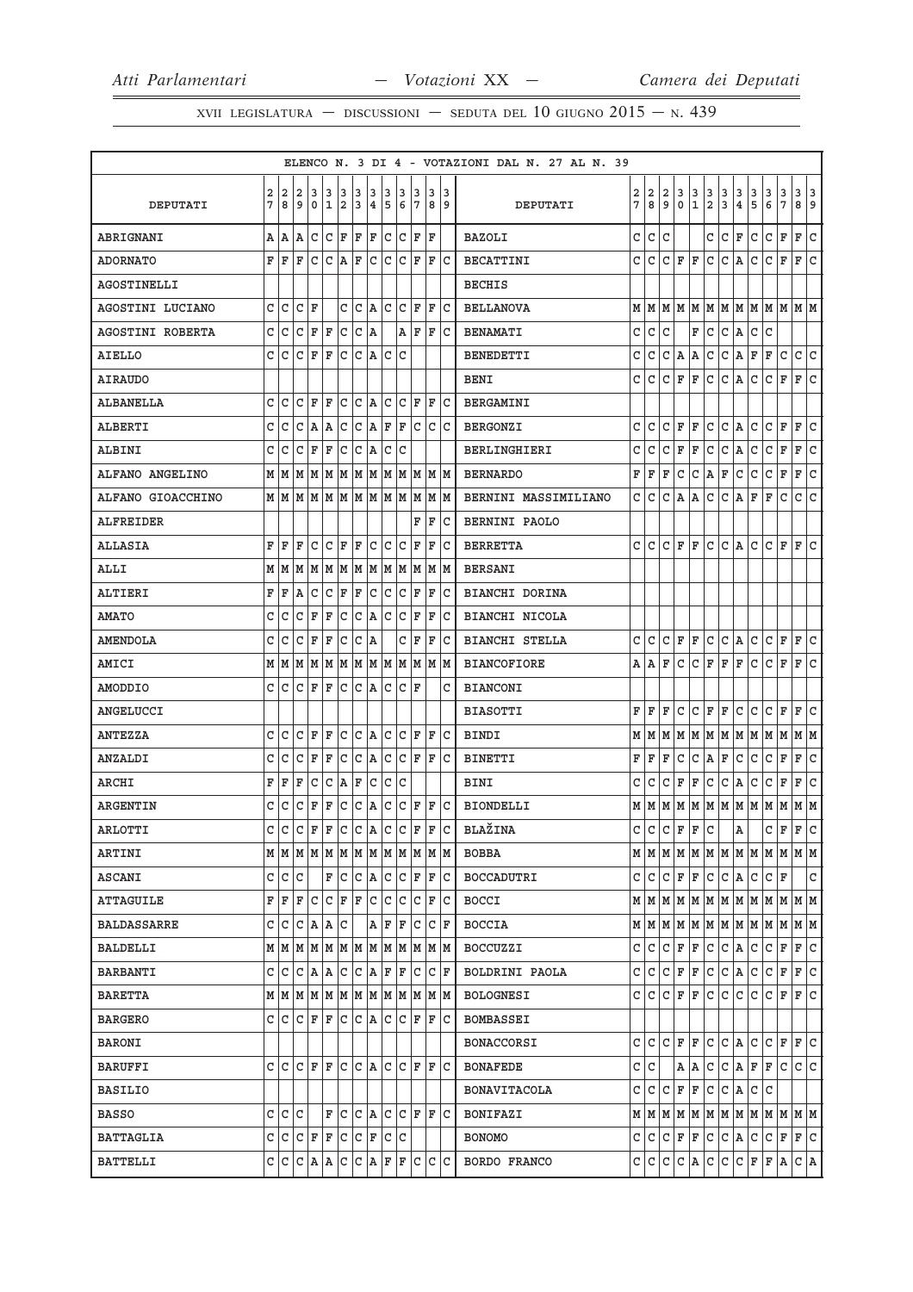|                    |   |           |     |             |              |              |           |                         |              |     |                        |      |      | ELENCO N. 3 DI 4 - VOTAZIONI DAL N. 27 AL N. 39 |                |           |                         |             |               |               |                                       |                                   |              |                                                                             |                |                |     |
|--------------------|---|-----------|-----|-------------|--------------|--------------|-----------|-------------------------|--------------|-----|------------------------|------|------|-------------------------------------------------|----------------|-----------|-------------------------|-------------|---------------|---------------|---------------------------------------|-----------------------------------|--------------|-----------------------------------------------------------------------------|----------------|----------------|-----|
|                    | 2 | 2         | 12  | 3           | 3            | 3            | 3         | 3                       | 3            | 3   | 3                      | 3    | 13   |                                                 | $\overline{a}$ | $\vert$ 2 | $\overline{\mathbf{2}}$ | 3           |               |               |                                       | $\mathbf{3}$                      | 3            | 3                                                                           | 3              | 3 <sup>1</sup> | 3   |
| DEPUTATI           | 7 | 8         | 9   | $\mathbf 0$ | 1            | 2            | 13        | $\overline{\mathbf{4}}$ | 5            | 6   | 17                     |      | 89   | DEPUTATI                                        | 7              | 8         | 9                       | 0           | $\frac{3}{1}$ | $\frac{3}{2}$ | $\begin{array}{c} 3 \\ 3 \end{array}$ | $\overline{4}$                    | 5            | 6                                                                           | $7\phantom{.}$ | 8 9            |     |
| ABRIGNANI          |   | A   A     | ١A  | C           | c            | F F          |           | F C                     |              |     | C F                    | ΙF   |      | BAZOLI                                          | C              | C         | $\mathtt{C}$            |             |               | c             | $ C $ F                               |                                   | C            | C                                                                           | F              | F              | C   |
| <b>ADORNATO</b>    | F | l F       | F   | C           | $\mathtt{C}$ | A.           | ΙF        | lc.                     | lc.          | lc. | F                      | ΙF   | lc   | <b>BECATTINI</b>                                | C              | C         |                         | C F F       |               |               | C C A                                 |                                   | lc.          | $ c _F$                                                                     |                | F C            |     |
| <b>AGOSTINELLI</b> |   |           |     |             |              |              |           |                         |              |     |                        |      |      | <b>BECHIS</b>                                   |                |           |                         |             |               |               |                                       |                                   |              |                                                                             |                |                |     |
| AGOSTINI LUCIANO   | C | lс        | C   | ١F          |              | С            |           | $ C $ $\Delta$ $ C $    |              | lc. | lF.                    | lF.  | ΙC   | <b>BELLANOVA</b>                                |                |           |                         |             |               |               |                                       |                                   |              | $M$   $M$   $M$   $M$   $M$   $M$   $M$   $M$   $M$   $M$   $M$   $M$   $M$ |                |                |     |
| AGOSTINI ROBERTA   | C | lc        | C   | ΙF          | F            | C            | С         | ١A                      |              | Α   | ΙF                     | ΙF   | lC.  | <b>BENAMATI</b>                                 | C              | C         | C                       |             | F             | C             | C A                                   |                                   | C            | С                                                                           |                |                |     |
| AIELLO             | c | lc.       | lc. | lF.         | ΙF           | lc.          | c         | A C                     |              | lc. |                        |      |      | BENEDETTI                                       | с              | С         |                         | C A A       |               |               | C C A                                 |                                   | F            | F                                                                           | C              | c c            |     |
| <b>AIRAUDO</b>     |   |           |     |             |              |              |           |                         |              |     |                        |      |      | <b>BENI</b>                                     | c              | С         | С                       | F           | F             | C             | C A                                   |                                   | C            | c                                                                           | F              | F              | С   |
| ALBANELLA          | C | lc        | C   | F           | ΙF           | lc.          | c         | A.                      | c            | C   | ΙF                     | F C  |      | <b>BERGAMINI</b>                                |                |           |                         |             |               |               |                                       |                                   |              |                                                                             |                |                |     |
| <b>ALBERTI</b>     | C | C         | C   | A           | ١A           | C            | c         | AF                      |              | F   | lc                     | lc.  | lc   | <b>BERGONZI</b>                                 | C              | С         | C                       | F           | F             | C             | $ C $ $A$                             |                                   | C            | C                                                                           | F              | F              | lc. |
| <b>ALBINI</b>      | C | C         | С   | ΙF          | F            | C            | с         | ١A                      | lc.          | ГC  |                        |      |      | <b>BERLINGHIERI</b>                             | c              | C         | C                       | F           | F             | С             | $ C $ $A$                             |                                   | С            | c                                                                           | F              | F              | lc. |
| ALFANO ANGELINO    | М | lм        | M   |             | MM           | MM           |           | MM                      |              |     |                        | MMMM |      | <b>BERNARDO</b>                                 | F              | F         | F                       | С           | C             | A F           |                                       | C                                 | C            | $\vert$ C                                                                   | F              | F              | lc. |
| ALFANO GIOACCHINO  |   | MM        | lМ  |             | MM           | M            |           |                         | M  M  M  M   |     | M                      | M    | lМ   | BERNINI MASSIMILIANO                            | c              | C         | C                       | Α           | Α             | c             | C A                                   |                                   | F            | F                                                                           | С              | C              | C   |
| <b>ALFREIDER</b>   |   |           |     |             |              |              |           |                         |              |     | F                      | F    | lc.  | <b>BERNINI PAOLO</b>                            |                |           |                         |             |               |               |                                       |                                   |              |                                                                             |                |                |     |
| ALLASIA            | F | ΙF        | F   | C           | $\mathtt{C}$ | F            | ΙF        | C                       | lc.          | c   | ΙF                     | F    | lc   | <b>BERRETTA</b>                                 | C              | C         | C                       |             | FF            | c             | C A                                   |                                   | С            | C                                                                           | F              | F              | lc. |
| ALLI               | М | M         | M   | MM          |              |              | MM        | MM                      |              | MM  |                        |      | MM   | <b>BERSANI</b>                                  |                |           |                         |             |               |               |                                       |                                   |              |                                                                             |                |                |     |
| ALTIERI            | F | F         | A   | C           | lc.          | F            | ΙF        | C                       | lc           | lc. | F                      | F    | lc   | BIANCHI DORINA                                  |                |           |                         |             |               |               |                                       |                                   |              |                                                                             |                |                |     |
| <b>AMATO</b>       | C | C         | С   | F           | F            | С            | с         | ١A                      | lc.          | C   | F                      | F    | ΙC   | BIANCHI NICOLA                                  |                |           |                         |             |               |               |                                       |                                   |              |                                                                             |                |                |     |
| <b>AMENDOLA</b>    | C | C         | C   | F           | F            | С            | lc.       | ١A                      |              | C   | ١F                     | ΙF   | lc   | <b>BIANCHI STELLA</b>                           | c              | c         |                         | $C$ $F$ $F$ |               |               | C C A                                 |                                   | C            | $ C $ F                                                                     |                | F C            |     |
| AMICI              |   | MM        | M   | M           | M            | M            | M         |                         | MM           | lм  |                        | MMM  |      | <b>BIANCOFIORE</b>                              | Α              | Α         | F                       | c           | С             | F             | lF.                                   | F                                 | С            | CF                                                                          |                | F              | C   |
| AMODDIO            | c | ГC        | C   | F           | ΙF           | lc.          | c         | A                       | C            |     | $ {\tt C}\> {\tt F}\>$ |      | С    | <b>BIANCONI</b>                                 |                |           |                         |             |               |               |                                       |                                   |              |                                                                             |                |                |     |
| ANGELUCCI          |   |           |     |             |              |              |           |                         |              |     |                        |      |      | <b>BIASOTTI</b>                                 | F              | F         | F                       | С           | $\mathsf{C}$  | F F           |                                       | c                                 | c.           | C F                                                                         |                | F C            |     |
| <b>ANTEZZA</b>     | C | lc        | C   | F           | ΙF           | $\mathtt{C}$ | c         | A                       | c            |     | $ {\tt C}\, $ F        | ΙF   | lc   | BINDI                                           |                | MMM       |                         |             |               |               |                                       |                                   |              | M M M M M M M M M M                                                         |                |                |     |
| ANZALDI            | C | C         | C   | F           | F            | С            | c         | A                       | c            | lc. | ΙF                     | F    | Iс   | <b>BINETTI</b>                                  | F              | F F       |                         | C           |               | C A F         |                                       | C                                 | c.           | C F                                                                         |                | F C            |     |
| ARCHI              | F | F         | F   | C           | C            | ١A           | F         | C                       | lc.          | lс  |                        |      |      | <b>BINI</b>                                     | c              | С         | C                       | F           | F             | С             | C                                     | A                                 | С            | С                                                                           | F              | F              | C   |
| <b>ARGENTIN</b>    | C | C         | C   | ΙF          | F            | C            | c         | A                       | l C          |     | $ {\tt C} \,  $ F      |      | F  C | <b>BIONDELLI</b>                                |                |           |                         |             |               |               |                                       |                                   |              | $M$   $M$   $M$   $M$   $M$   $M$   $M$   $M$   $M$   $M$   $M$   $M$       |                |                |     |
| ARLOTTI            | C | l C       | C   | ΙF          | ΙF           | lc.          | lc.       | A                       | lc.          | lc. | ΙF                     | ΙF   | lc.  | <b>BLAŽINA</b>                                  |                | c c       |                         |             | $ c _F _F _C$ |               |                                       | A                                 |              | $\mathsf{C}$                                                                |                | $F$ $F$ $C$    |     |
| <b>ARTINI</b>      |   | M   M   M |     | MM          |              |              | MM        |                         | M M          |     | M M                    |      | M M  | BOBBA                                           |                |           |                         |             |               |               |                                       |                                   |              | $M$   $M$   $M$   $M$   $M$   $M$   $M$   $M$   $M$   $M$   $M$   $M$   $M$ |                |                |     |
| ASCANI             | C | C         | C   |             | F            | С            | c         | A                       | lc           | C   | F                      | ΙF   | lc   | <b>BOCCADUTRI</b>                               | C              | C         | c                       |             | F F           |               | C C A                                 |                                   | c            | C F                                                                         |                |                | C   |
| <b>ATTAGUILE</b>   | F | ΙF        | F   | C           | $\mathtt{C}$ | ΙF           | ΙF        | C                       | $\mathsf{C}$ | C   | C                      | F    | lc   | <b>BOCCI</b>                                    |                |           |                         |             |               |               |                                       | M   M   M   M   M   M   M   M   M |              |                                                                             |                | M   M   M      |     |
| <b>BALDASSARRE</b> | C | C         | C   | A A         |              | C            |           |                         | AF           | F   | lC.                    |      | C F  | <b>BOCCIA</b>                                   |                |           |                         |             |               |               |                                       |                                   |              | MMMMMMMMMMMMMM                                                              |                |                |     |
| <b>BALDELLI</b>    | М | lм        | M   | M           | M            |              | M M       | M M                     |              | M   | M                      |      | M M  | <b>BOCCUZZI</b>                                 | C              | С         | С                       | F           | F             | C             | C A                                   |                                   | С            | c                                                                           | F              | F              | С   |
| BARBANTI           | C | c c       |     | $A$ $A$     |              |              | c c       | $A$ $F$                 |              | F   | lc                     |      | C F  | BOLDRINI PAOLA                                  | c              | С         |                         | C F F       |               |               | C C A                                 |                                   | С            | $ C $ F                                                                     |                | F C            |     |
| <b>BARETTA</b>     | М | lм        | M   | M           | lм           |              | MM        |                         | MM           | lм  | lм                     |      | M M  | <b>BOLOGNESI</b>                                | c              | С         | С                       | F           | F             | c             | c                                     | C                                 | С            | С                                                                           | F              | F              | C   |
| <b>BARGERO</b>     | C | lc        | С   | F           | F            | C            | c         | A   C                   |              | IС  | F                      | F    | IС   | <b>BOMBASSEI</b>                                |                |           |                         |             |               |               |                                       |                                   |              |                                                                             |                |                |     |
| BARONI             |   |           |     |             |              |              |           |                         |              |     |                        |      |      | <b>BONACCORSI</b>                               | c              | С         | c                       |             | FF            |               | C C A                                 |                                   | $\mathsf{C}$ | C                                                                           | F              | F C            |     |
| <b>BARUFFI</b>     | C | lc.       | C   | F           | ΙF           | C            | lc.       | ١A                      | lc           | C   | ΙF                     | ΙF   | lc   | <b>BONAFEDE</b>                                 | c              | C         |                         |             | A   A         | c             |                                       | C A F F                           |              |                                                                             | $\mathtt{C}$   | c c            |     |
| <b>BASILIO</b>     |   |           |     |             |              |              |           |                         |              |     |                        |      |      | <b>BONAVITACOLA</b>                             | С              | C         | C                       |             | F F           |               | C C A                                 |                                   | C C          |                                                                             |                |                |     |
| <b>BASSO</b>       | C | ГC        | C   |             | F            | C            | lc.       | ١A                      | lc           | C   | ΙF                     | F    | ١c   | <b>BONIFAZI</b>                                 |                |           |                         |             |               |               |                                       |                                   |              | $M$   $M$   $M$   $M$   $M$   $M$   $M$   $M$   $M$   $M$   $M$   $M$   $M$ |                |                |     |
| BATTAGLIA          |   | C C C F   |     |             | F            |              | $ C C $ F |                         | c c          |     |                        |      |      | <b>BONOMO</b>                                   | C              |           |                         | C C F F     |               |               | C C A                                 |                                   | С            | C F                                                                         |                | F C            |     |
| <b>BATTELLI</b>    | С | IС        | с   | A           | Α            | с            | с         | A                       | F            | F   | C                      | с    | lC.  | <b>BORDO FRANCO</b>                             | с              | С         | С                       |             | C A           | С             | c                                     | C F                               |              | F                                                                           | Α              | $C \mid A$     |     |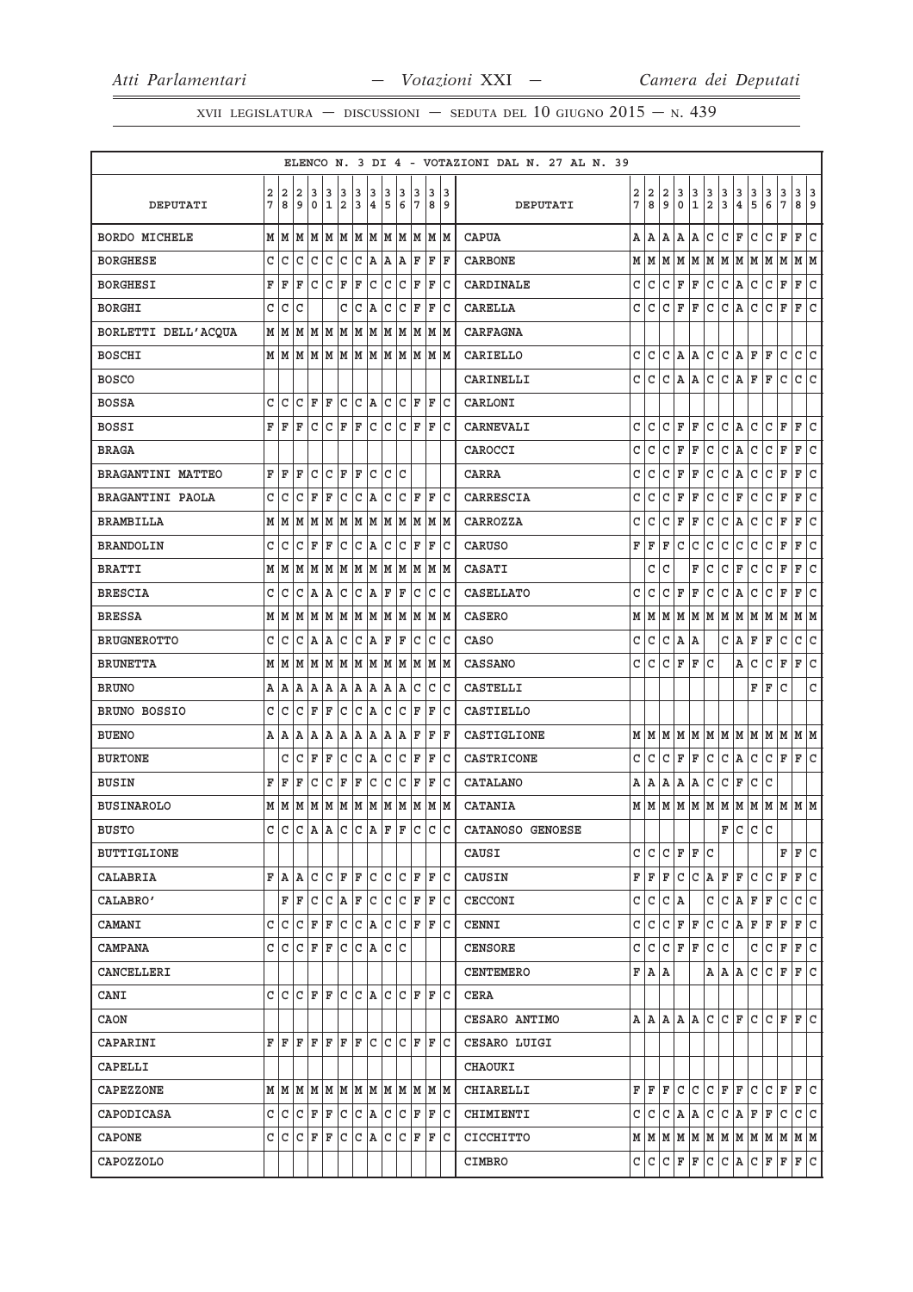|                      |   |              |             |              |              |                |              |                         |     |              |         |              |     |              | ELENCO N. 3 DI 4 - VOTAZIONI DAL N. 27 AL N. 39 |          |  |              |                |              |             |                   |               |                                       |               |               |                                                                             |               |              |                         |
|----------------------|---|--------------|-------------|--------------|--------------|----------------|--------------|-------------------------|-----|--------------|---------|--------------|-----|--------------|-------------------------------------------------|----------|--|--------------|----------------|--------------|-------------|-------------------|---------------|---------------------------------------|---------------|---------------|-----------------------------------------------------------------------------|---------------|--------------|-------------------------|
|                      | 2 | 2            | 2           | 3            | 3            | 3              | 3            | 3                       | 3   | 3            | 3       | 3            | 3   |              |                                                 |          |  | $\mathbf{2}$ | $\overline{a}$ | $\mathbf 2$  | 3           |                   |               |                                       |               |               | 3                                                                           |               | 3 3          |                         |
| DEPUTATI             | 7 | 8            | 9           | $\mathbf 0$  | $\mathbf{1}$ | $\overline{2}$ | 3            | $\overline{\mathbf{4}}$ | 5   | 6            | 7       | 8            | و ا |              |                                                 | DEPUTATI |  | 7            | 8              | 9            | 0           | $\frac{3}{1}$     | $\frac{3}{2}$ | $\begin{array}{c} 3 \\ 3 \end{array}$ | $\frac{3}{4}$ | $\frac{3}{5}$ | 6                                                                           | $\frac{3}{7}$ | 8 9          |                         |
| <b>BORDO MICHELE</b> | М | M            | M           | MM           |              |                | MM           |                         | MM  |              | MM      |              | MM  | <b>CAPUA</b> |                                                 |          |  | Α            | Α              | Α            | A           | Α                 | $\mathtt{C}$  | c.                                    | F             | $\mathtt{C}$  | C                                                                           | F             | F            | $\overline{\mathsf{C}}$ |
| <b>BORGHESE</b>      | C | C            | C           | $\mathsf{C}$ | $\mathtt{C}$ | c              | c            | A.                      | A   | A            | F       | F            | F   |              | <b>CARBONE</b>                                  |          |  | М            |                |              |             |                   |               |                                       |               |               | $ M M M M M M M M M M M M M M M $                                           |               |              |                         |
| <b>BORGHESI</b>      | F | F            | F           | C            | C            | F              | F            | C                       | C   | C            | ΙF      | F            | lc  |              | CARDINALE                                       |          |  | C            | C              | C            | $\mathbf F$ | F                 | $\mathtt{C}$  | C                                     | A             | C             | $\mathtt{C}$                                                                | F             | $\mathbf F$  | c                       |
| <b>BORGHI</b>        | C | C            | C           |              |              | C              | lc.          | A                       | lc  | $\mathtt{C}$ | F       | F            | lc  |              | <b>CARELLA</b>                                  |          |  | C            | С              | С            | F           | F                 | C             | lc.                                   | ۱Ā.           | С             | C                                                                           | F             | F            | lc.                     |
| BORLETTI DELL'ACQUA  | М | M            | M           | M            | M            | M              | M            | M                       | M   | M            | M       | M            | M   |              | <b>CARFAGNA</b>                                 |          |  |              |                |              |             |                   |               |                                       |               |               |                                                                             |               |              |                         |
| <b>BOSCHI</b>        |   |              | M M M       |              | MM           |                | MM           |                         |     |              | M M M M |              | M M |              | CARIELLO                                        |          |  | c            | С              | С            | Α           | Α                 | C             | C A                                   |               | F             | F                                                                           | C             | c c          |                         |
| <b>BOSCO</b>         |   |              |             |              |              |                |              |                         |     |              |         |              |     |              | CARINELLI                                       |          |  | C            | $\mathtt{C}$   | C            |             | A   A             | C             | C A                                   |               | $\mathbf F$   | F                                                                           | $\mathtt{C}$  | C            | c                       |
| <b>BOSSA</b>         | C | $\mathsf{C}$ | C           | F            | F            | $\mathtt{C}$   | c            | A.                      | c   | C            | F       | F            | c   |              | CARLONI                                         |          |  |              |                |              |             |                   |               |                                       |               |               |                                                                             |               |              |                         |
| <b>BOSSI</b>         | F | F            | F           | C            | lc.          | F              | ΙF           | C                       | lc  | $\mathtt{C}$ | F       | ΙF           | lc  |              | CARNEVALI                                       |          |  | C            | C              | C            | $\mathbf F$ | F                 | $\mathtt{C}$  | $\mathtt{C}$                          | Α             | C             | C                                                                           | F             | F            | lc.                     |
| <b>BRAGA</b>         |   |              |             |              |              |                |              |                         |     |              |         |              |     |              | CAROCCI                                         |          |  | C            | С              | C            | F           | F                 | $\mathtt{C}$  | C                                     | $\, {\bf A}$  | С             | C                                                                           | F             | $\mathbf F$  | C                       |
| BRAGANTINI MATTEO    | F | F            | $\mathbf F$ | C            | c            | F              | F            | C                       | lc. | c            |         |              |     | CARRA        |                                                 |          |  | C            | С              | C            | F           | F                 | C             | C                                     | A             | C             | C                                                                           | F             | $\mathbf{F}$ | c                       |
| BRAGANTINI PAOLA     | C | C            | C           | F            | F            | C              | C            | A                       | C   | C            | F       | F            | lc  |              | CARRESCIA                                       |          |  | C            | С              | C            | F           | F                 | C             | C                                     | $\mathbf F$   | C             | $\mathtt{C}$                                                                | F             | F            | C                       |
| <b>BRAMBILLA</b>     | М | M            | M           | M            | M            | M              | M            | M                       | M   | M            | lм      |              | M M |              | CARROZZA                                        |          |  | C            | c              | C            | F           | F                 | C             | c                                     | A             | С             | C                                                                           | F             | F            | C                       |
| <b>BRANDOLIN</b>     | C | C            | C           | ΙF           | F            | C              | C            | l A                     | C   | C            | ΙF      | F            | lc  |              | <b>CARUSO</b>                                   |          |  | F            | F              | F            | C           | $\mathtt{C}$      | C             | $\mathtt{C}$                          | $\mathtt{C}$  | $\mathtt{C}$  | C                                                                           | F             | F            | C                       |
| <b>BRATTI</b>        | М | M            | M           | M            | M            | M              | M            | M                       | M   | M            | M       | M            | lМ  |              | CASATI                                          |          |  |              | $\mathtt{C}$   | C            |             | F                 | $\mathtt{C}$  | C                                     | F             | $\mathtt{C}$  | C                                                                           | F             | $\mathbf F$  | C                       |
| <b>BRESCIA</b>       | C | C            | C           | A            | ١A           | С              | C            | A                       | F   | F            | C       | C            | lc  |              | <b>CASELLATO</b>                                |          |  | C            | С              | С            | F           | F                 | C             | C                                     | A             | C             | C                                                                           | F             | F            | C                       |
| <b>BRESSA</b>        | М | M            | М           | M            | M            | M              | M            | M                       | M   | M            | M       | M            | lм  |              | <b>CASERO</b>                                   |          |  | М            | M              | M            |             | M M M M M M       |               |                                       |               |               | MM                                                                          |               | M  M         |                         |
| <b>BRUGNEROTTO</b>   | C | C            | C           | A            | A            | C              | c            | A                       | F   | F            | C       | $\mathtt{C}$ | lc. | CASO         |                                                 |          |  | С            | $\mathtt{C}$   | $\mathtt{C}$ | A  A        |                   |               | C A                                   |               | $\mathbf F$   | $\mathbf F$                                                                 | $\mathtt{C}$  | c c          |                         |
| <b>BRUNETTA</b>      | М | M            | M           | M            | M            | M              | M            | M                       | M   | M            | M       | M            | lМ  |              | <b>CASSANO</b>                                  |          |  | C            | С              | $\mathtt{C}$ | $\mathbf F$ | F                 | C             |                                       | Α             | С             | C                                                                           | F             | F            | С                       |
| <b>BRUNO</b>         | Α | ΙA           | A           | A            | A            | A              | A            | A                       | A   | Α            | C       | С            | c   |              | CASTELLI                                        |          |  |              |                |              |             |                   |               |                                       |               | F             | F                                                                           | C             |              | C                       |
| BRUNO BOSSIO         | C | C            | C           | F            | F            | C              | $\mathtt{C}$ | A                       | C   | C            | F       | F            | lc  |              | <b>CASTIELLO</b>                                |          |  |              |                |              |             |                   |               |                                       |               |               |                                                                             |               |              |                         |
| <b>BUENO</b>         | Α | Α            | Α           | A            | A            | ١A             | A            | A                       | lA. | A            | F       | F            | F   |              | CASTIGLIONE                                     |          |  | М            | M              | М            | M           | M                 | M   M   M     |                                       |               | M   M         |                                                                             | M             | MM           |                         |
| <b>BURTONE</b>       |   | C            | C           | F            | F            | С              | C            | A                       | c   | $\mathtt{C}$ | F       | F            | lc  |              | CASTRICONE                                      |          |  | C            | С              | С            | F           | F                 | C             | c.                                    | A             | C             | C F                                                                         |               | F C          |                         |
| <b>BUSIN</b>         | F | F            | F           | C            | C            | ΙF             | $\mathbf F$  | C                       | lc. | C            | ΙF      | F            | lc  |              | CATALANO                                        |          |  | Α            | Α              | Α            | Α           | Α                 | C             | C                                     | F             | C             | C                                                                           |               |              |                         |
| <b>BUSINAROLO</b>    | М | M            | M           |              | MM           | M              | M            | M                       | M   | M            | M       |              | MM  |              | CATANIA                                         |          |  | М            | M              | М            | М           | M                 | M             | MM                                    |               |               | M M M M                                                                     |               |              |                         |
| <b>BUSTO</b>         | C | lc           | C           | A            | l A          | c              | c            | A                       | F   | ΙF           | c       | C            | lc. |              | CATANOSO GENOESE                                |          |  |              |                |              |             |                   |               | F                                     | $\mathtt{C}$  | $\mathtt{C}$  | C                                                                           |               |              |                         |
| <b>BUTTIGLIONE</b>   |   |              |             |              |              |                |              |                         |     |              |         |              |     | CAUSI        |                                                 |          |  | c            | C              | C            |             | F F               | C             |                                       |               |               |                                                                             | F F C         |              |                         |
| CALABRIA             | F | A            | ١A          | C            | lc.          | F              | ΙF           | C                       | lc  | C            | ΙF      | F            | lc  |              | CAUSIN                                          |          |  |              | F F F          |              | C           |                   | C A F F       |                                       |               | lc.           | C                                                                           | F             | $\mathbf F$  | c                       |
| CALABRO'             |   | F            | F           | C            | $\mathtt{C}$ | A              | ΙF           | C                       | lc. | C            | ΙF      | F            | ΙC  |              | <b>CECCONI</b>                                  |          |  | c            | С              | C A          |             |                   | c             |                                       |               | C A F F       |                                                                             | $\mathtt{C}$  | C            | lc.                     |
| CAMANI               | C | ГC           | lc          | F F          |              |                | c c          | A C                     |     |              |         | C F F C      |     | CENNI        |                                                 |          |  | c            | c              |              | C F F       |                   |               |                                       | C C A         | F             | F                                                                           | F             | F C          |                         |
| CAMPANA              | C | l C          | C           | ΙF           | F            | С              | C            | ١A                      | С   | lc.          |         |              |     |              | <b>CENSORE</b>                                  |          |  | C            | С              | c            | F           | F                 | С             | C                                     |               | C             | С                                                                           | F             | F            | C                       |
| CANCELLERI           |   |              |             |              |              |                |              |                         |     |              |         |              |     |              | <b>CENTEMERO</b>                                |          |  |              | F A A          |              |             |                   |               | A   A   A                             |               | С             | c                                                                           | F             | F C          |                         |
| CANI                 | C | C            | C           | F            | ΙF           | C              | lc.          | lA.                     | lc  | C            | ΙF      | F            | lc. | <b>CERA</b>  |                                                 |          |  |              |                |              |             |                   |               |                                       |               |               |                                                                             |               |              |                         |
| CAON                 |   |              |             |              |              |                |              |                         |     |              |         |              |     |              | CESARO ANTIMO                                   |          |  |              |                |              |             | A   A   A   A   A |               |                                       | C C F         |               | C C F F C                                                                   |               |              |                         |
| CAPARINI             | F | F            | F           | F            | ΙF           | F              | l F          | C                       | lc  | C            | l F     | ΙF           | lc  |              | CESARO LUIGI                                    |          |  |              |                |              |             |                   |               |                                       |               |               |                                                                             |               |              |                         |
| CAPELLI              |   |              |             |              |              |                |              |                         |     |              |         |              |     |              | CHAOUKI                                         |          |  |              |                |              |             |                   |               |                                       |               |               |                                                                             |               |              |                         |
| CAPEZZONE            |   |              |             |              |              |                |              |                         |     |              |         |              |     |              | CHIARELLI                                       |          |  |              | F F F          |              |             | C C               |               | $C$ $F$ $F$                           |               | c             | C F F C                                                                     |               |              |                         |
| CAPODICASA           | C | lc.          | C           | F            | F            | C              | c            | A                       | lc. | lc.          | F       | ΙF           | lC. |              | CHIMIENTI                                       |          |  | c            | С              | С            |             | $A \mid A$        |               |                                       | C C A         | F F           |                                                                             | С             | C C          |                         |
| CAPONE               | c |              | c c         | F  F         |              |                | c c          | A                       | lc  | C            | ΙF      | F            | C   |              | CICCHITTO                                       |          |  |              |                |              |             |                   |               |                                       |               |               | $M$   $M$   $M$   $M$   $M$   $M$   $M$   $M$   $M$   $M$   $M$   $M$   $M$ |               |              |                         |
| CAPOZZOLO            |   |              |             |              |              |                |              |                         |     |              |         |              |     |              | CIMBRO                                          |          |  |              | c  c           | C.           | F F         |                   |               | C C A                                 |               | $\mathtt{C}$  | F                                                                           | F             | F C          |                         |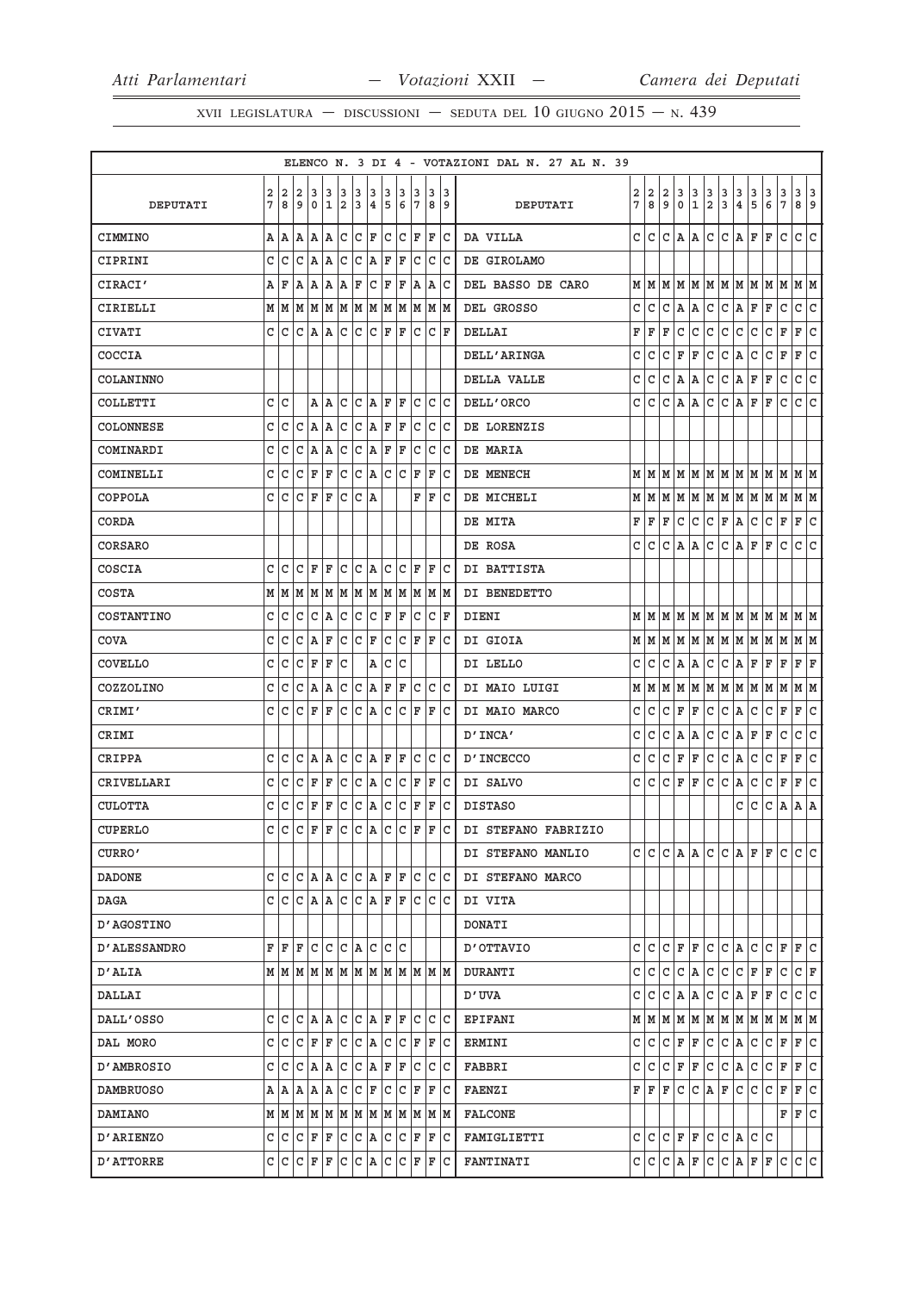|                   |   |      |           |             |             |     |         |                         |             |     |         |                   |                                                                             | ELENCO N. 3 DI 4 - VOTAZIONI DAL N. 27 AL N. 39 |                |                |                         |   |                |              |               |                         |                           |                        |                |                                                                             |     |
|-------------------|---|------|-----------|-------------|-------------|-----|---------|-------------------------|-------------|-----|---------|-------------------|-----------------------------------------------------------------------------|-------------------------------------------------|----------------|----------------|-------------------------|---|----------------|--------------|---------------|-------------------------|---------------------------|------------------------|----------------|-----------------------------------------------------------------------------|-----|
|                   | 2 | 2    | 12        | 3           | 3           | 3   | 3       | 3                       | 3           | 3   | 3       | 3                 | 13                                                                          |                                                 | $\overline{a}$ | $\overline{a}$ | $\overline{\mathbf{c}}$ | 3 | 3              | $\mathbf{3}$ |               | $\mathbf{3}$            | 3                         | 3                      | 3              | 3                                                                           | 3   |
| DEPUTATI          | 7 | 8    | 9         | $\mathbf 0$ | 1           | 2   | 3       | $\overline{\mathbf{4}}$ | 5           | 6   | 17      | 8                 | و ا                                                                         | DEPUTATI                                        | 7              | 8              | 9                       | 0 | $\overline{1}$ | $\mathbf 2$  | $\frac{3}{3}$ | $\overline{\mathbf{4}}$ | 5                         | 6                      | $7\phantom{.}$ | 8 9                                                                         |     |
| CIMMINO           | Α | A    | ١A        | A  A        |             | С   | c       | F                       | ∣c          |     | C F     | F                 | C                                                                           | DA VILLA                                        | C              | C              |                         |   | C A A          | C            | C A           |                         | F F                       |                        | $\mathtt{C}$   | C                                                                           | c   |
| CIPRINI           | C | C    | C         | A           | ΙA          | C   | c       | A                       | F           | F   | C       | C                 | lc                                                                          | DE GIROLAMO                                     |                |                |                         |   |                |              |               |                         |                           |                        |                |                                                                             |     |
| CIRACI'           | Α | F    | А         | A           | A           | ١A  | F       | C                       | F           | F   | ١A      | Α                 | ΙC                                                                          | DEL BASSO DE CARO                               |                |                |                         |   |                |              |               |                         |                           |                        |                | $M$   $M$   $M$   $M$   $M$   $M$   $M$   $M$   $M$   $M$   $M$   $M$   $M$ |     |
| CIRIELLI          |   |      |           |             |             |     |         |                         |             |     |         |                   |                                                                             | DEL GROSSO                                      | c              | С              | C                       |   | A A            |              | C C A         |                         | F                         | F                      | С              | C C                                                                         |     |
| <b>CIVATI</b>     |   | c Ic | C         | A           | Α           | С   | С       | lc.                     | F           | ΙF  | C       | C                 | ΙF                                                                          | DELLAI                                          | F              | F              | F                       | с | С              | С            | C             | $\mathtt{C}$            | C                         | С                      | F              | F                                                                           | C   |
| COCCIA            |   |      |           |             |             |     |         |                         |             |     |         |                   |                                                                             | DELL'ARINGA                                     | с              | С              | С                       | F | F              | C            | C A           |                         | С                         | C                      | F              | F                                                                           | c   |
| COLANINNO         |   |      |           |             |             |     |         |                         |             |     |         |                   |                                                                             | DELLA VALLE                                     | C              | С              | С                       | Α | A              | C            | c.            | A                       | F                         | $\mathbf F$            | $\mathtt{C}$   | C                                                                           | c   |
| COLLETTI          | C | l C  |           |             | $A \mid A$  | lc. | c       | AF                      |             | F   | c       | C                 | c                                                                           | DELL'ORCO                                       | c              | С              |                         |   | C A A          |              | C C A         |                         | F F                       |                        | $\mathtt{C}$   | c c                                                                         |     |
| <b>COLONNESE</b>  | C | C    | C         | A           | ۱A          | C   | c       | A                       | F           | F   | c       | C                 | lc                                                                          | DE LORENZIS                                     |                |                |                         |   |                |              |               |                         |                           |                        |                |                                                                             |     |
| COMINARDI         | C | C    | C         | ΙA          | Α           | C   | с       | ١A                      | F           | F   | C       | C                 | ΙC                                                                          | DE MARIA                                        |                |                |                         |   |                |              |               |                         |                           |                        |                |                                                                             |     |
| COMINELLI         | C | lc   | C         | F           | F           | C   | c       | A                       | lc          | lc. | ΙF      | F                 | lc                                                                          | DE MENECH                                       |                |                |                         |   |                |              |               |                         |                           |                        |                | $M$   $M$   $M$   $M$   $M$   $M$   $M$   $M$   $M$   $M$   $M$   $M$   $M$ |     |
| COPPOLA           |   | c Ic | C         | ΙF          | F           | С   | C       | ١A                      |             |     | F       | ΙF                | ΙC                                                                          | DE MICHELI                                      | М              | MM             |                         |   |                |              |               |                         | M   M   M   M   M   M   M |                        |                | M M                                                                         |     |
| CORDA             |   |      |           |             |             |     |         |                         |             |     |         |                   |                                                                             | DE MITA                                         |                | F F F          |                         | C | C              |              | C F A         |                         | С                         | C F                    |                | F C                                                                         |     |
| CORSARO           |   |      |           |             |             |     |         |                         |             |     |         |                   |                                                                             | DE ROSA                                         | c              | С              | С                       | Α | A              | С            | c.            | Α                       | F                         | F                      | С              | c                                                                           | C   |
| COSCIA            | C | lc.  | c         | F           | F           |     | c c     | A C                     |             |     | $ c _F$ | F                 | ΙC                                                                          | DI BATTISTA                                     |                |                |                         |   |                |              |               |                         |                           |                        |                |                                                                             |     |
| <b>COSTA</b>      | М | M    | M         |             | MM          |     | MM      |                         |             |     |         | M   M   M   M   M |                                                                             | DI BENEDETTO                                    |                |                |                         |   |                |              |               |                         |                           |                        |                |                                                                             |     |
| COSTANTINO        | C | IС   | C         | C           | ١A          | C   | lc.     | lc.                     | F           | F   | lC.     | C                 | ΙF                                                                          | DIENI                                           |                |                |                         |   |                |              |               |                         |                           |                        |                | $M$   $M$   $M$   $M$   $M$   $M$   $M$   $M$   $M$   $M$   $M$   $M$   $M$ |     |
| COVA              | C | c    | C         | A           | F           | C   | lc.     | F                       | c           | lc. | ΙF      | ΙF                | lc                                                                          | DI GIOIA                                        |                |                |                         |   |                |              |               |                         |                           |                        |                | $M$   $M$   $M$   $M$   $M$   $M$   $M$   $M$   $M$   $M$   $M$   $M$   $M$ |     |
| COVELLO           | C | l C  | C         | ΙF          | $\mathbf F$ | C   |         | А                       | C           | C   |         |                   |                                                                             | DI LELLO                                        | c              | С              | C                       | Α | Α              | С            | C A           |                         | F                         | F                      | F              | FF                                                                          |     |
| COZZOLINO         | С | IС   | С         | A A         |             |     | c c     | A F                     |             |     | F C     |                   | C C                                                                         | DI MAIO LUIGI                                   | М              | M              | M                       | М | M              |              |               |                         | M M M M M M               |                        |                | M M                                                                         |     |
| CRIMI'            | C | C    | C         | F           | F           | C   | C       | lA.                     | C           | lc. | ΙF      | ΙF                | lc                                                                          | DI MAIO MARCO                                   | C              | С              | С                       | F | F              | $\mathtt{C}$ | c.            | A                       | C                         | C                      | F              | F                                                                           | C   |
| CRIMI             |   |      |           |             |             |     |         |                         |             |     |         |                   |                                                                             | D'INCA'                                         | C              | C              | C                       |   | A  A           | C            |               |                         | C A F F                   |                        | $\mathtt{C}$   | c c                                                                         |     |
| CRIPPA            | C | C    | C         | A           | ١A          | C   | lc.     | A                       | ΙF          | ΙF  | lc      | C                 | Iс                                                                          | D' INCECCO                                      | C              | С              | C                       |   | F F            |              | C C A         |                         | C                         | C F                    |                | F                                                                           | lc. |
| CRIVELLARI        | C | ١c   | C         | ΙF          | F           | C   | lc.     | lA.                     | lc.         | C   | F       | F                 | ΙC                                                                          | DI SALVO                                        | c              | C              | C                       | F | F              | c            | lc.           | A                       | С                         | C                      | F              | F                                                                           | C   |
| <b>CULOTTA</b>    | C | lc   | C         | F           | F           | lc. | c       | A                       | l C         | c   | ΙF      | ΙF                | lc                                                                          | <b>DISTASO</b>                                  |                |                |                         |   |                |              |               | c                       | C                         | C A                    |                | A A                                                                         |     |
| <b>CUPERLO</b>    | C | lc   | C         | F           | F           | lc. | lc.     | A                       | lc          | lc. | ΙF      | ΙF                | lc.                                                                         | DI STEFANO FABRIZIO                             |                |                |                         |   |                |              |               |                         |                           |                        |                |                                                                             |     |
| CURRO'            |   |      |           |             |             |     |         |                         |             |     |         |                   |                                                                             | DI STEFANO MANLIO                               |                |                |                         |   | C C C A A      |              |               |                         | C C A F F                 |                        | c              | C C                                                                         |     |
| <b>DADONE</b>     | C | C    | c         | A A         |             |     | c c     | A F                     |             | ΙF  | lc      | С                 | ТC                                                                          | DI STEFANO MARCO                                |                |                |                         |   |                |              |               |                         |                           |                        |                |                                                                             |     |
| DAGA              | C | lc.  | lc.       | A A         |             | lc. | c       | AF                      |             | ΙF  | lc      | C                 | ΙC                                                                          | DI VITA                                         |                |                |                         |   |                |              |               |                         |                           |                        |                |                                                                             |     |
| <b>D'AGOSTINO</b> |   |      |           |             |             |     |         |                         |             |     |         |                   |                                                                             | <b>DONATI</b>                                   |                |                |                         |   |                |              |               |                         |                           |                        |                |                                                                             |     |
| D'ALESSANDRO      | F | F    | F         |             | C C         |     | C A     | С                       | lc.         | lc  |         |                   |                                                                             | OTTAVIO                                         | c              | С              | c                       | F | F              | С            | C A           |                         | С                         | С                      | F              | F                                                                           | C   |
| D'ALIA            |   |      |           |             |             |     |         |                         |             |     |         |                   | $M$   $M$   $M$   $M$   $M$   $M$   $M$   $M$   $M$   $M$   $M$   $M$   $M$ | <b>DURANTI</b>                                  | С              | C C            |                         |   | C A            |              |               |                         | C  C C F F                |                        | С              | C F                                                                         |     |
| DALLAI            |   |      |           |             |             |     |         |                         |             |     |         |                   |                                                                             | D'UVA                                           | с              | С              | С                       | Α | Α              | С            | C A           |                         | F                         | F                      | С              | C C                                                                         |     |
| DALL'OSSO         | C | lc.  | lc.       | A A         |             |     | C C A F |                         |             |     | F C     |                   | C C                                                                         | <b>EPIFANI</b>                                  |                |                |                         |   |                |              |               |                         |                           |                        |                | $M$   $M$   $M$   $M$   $M$   $M$   $M$   $M$   $M$   $M$   $M$   $M$   $M$ |     |
| DAL MORO          | C | C    | C         | F           | ΙF          | C   | С       | A                       | lc.         | C   | ΙF      | ΙF                | lc                                                                          | ERMINI                                          | c              | c.             |                         |   | C F F          |              | c c A         |                         | c.                        | $ C $ $\mathbf{F}$ $ $ |                | F C                                                                         |     |
| <b>D'AMBROSIO</b> | C | ١c   | C         | ΙA          | ΙA          | С   | С       | lA.                     | ΙF          | F   | C       | C                 | ١c                                                                          | FABBRI                                          | C              | C              |                         |   | C F F          |              | C C A         |                         | С                         | C                      | F              | F                                                                           | lc. |
| <b>DAMBRUOSO</b>  | Α | ١A   | A         | ١A          | ١A          | С   | lc.     | F                       | IС          | C   | ΙF      | F                 | IС                                                                          | <b>FAENZI</b>                                   |                | F F F          |                         |   | C C A F C C    |              |               |                         |                           | C F                    |                | F C                                                                         |     |
| <b>DAMIANO</b>    |   |      | M   M   M |             | MM          |     | M M M M |                         |             |     | M M     |                   | M M                                                                         | <b>FALCONE</b>                                  |                |                |                         |   |                |              |               |                         |                           |                        | FF             |                                                                             | C   |
| D'ARIENZO         |   |      | C C C F F |             |             |     |         |                         | C C A C C F |     |         | F                 | IС                                                                          | FAMIGLIETTI                                     |                | C C C F F      |                         |   |                |              | C C A         |                         | C C                       |                        |                |                                                                             |     |
| <b>D'ATTORRE</b>  | С | C    |           | C F         | F           | C   | C       | A                       | lC.         | IС  | F       | F                 | lc.                                                                         | <b>FANTINATI</b>                                |                | C C C A F      |                         |   |                |              |               |                         | C  C A  F F               |                        | C              | c c                                                                         |     |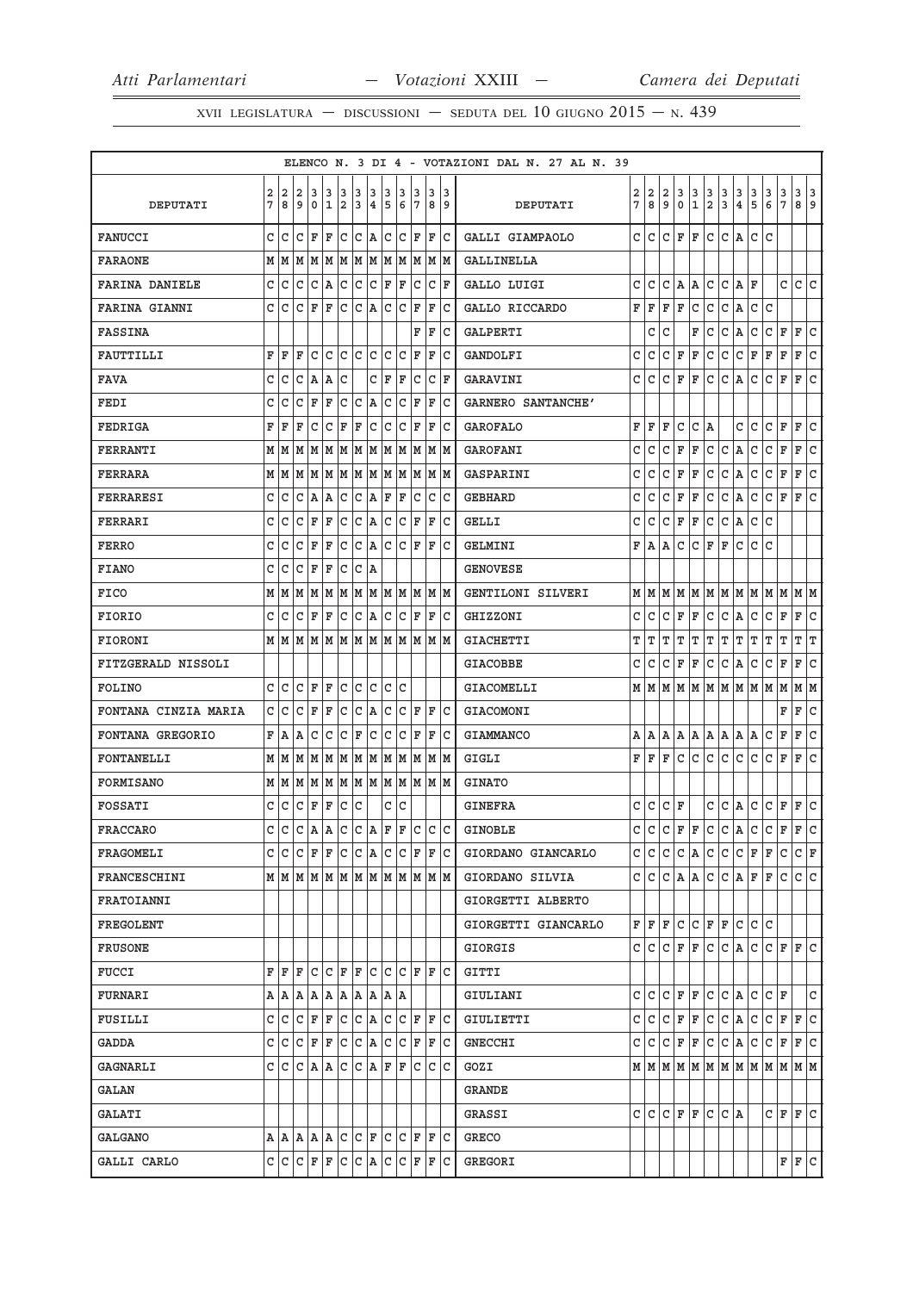|                      |   |       |     |             |         |     |       |       |               |     |                    |                                       |     | ELENCO N. 3 DI 4 - VOTAZIONI DAL N. 27 AL N. 39 |   |     |              |             |              |                |              |                         |     |       |                 |                                                                             |     |
|----------------------|---|-------|-----|-------------|---------|-----|-------|-------|---------------|-----|--------------------|---------------------------------------|-----|-------------------------------------------------|---|-----|--------------|-------------|--------------|----------------|--------------|-------------------------|-----|-------|-----------------|-----------------------------------------------------------------------------|-----|
|                      | 2 | 2     | 12  | 3           | 3       | 3   | 3     | 3     | 3             | 3   | 3                  |                                       | 3 3 |                                                 | 2 | 2   | 2            | 3           | 3            | 3              | 3            | 3                       | 3   | 3     | 3               | 3                                                                           | 3   |
| DEPUTATI             | 7 | 8     | 9   | $\mathbf 0$ | 1       | 2   | 3     | 4     | 5             | 6   | 17                 | 89                                    |     | DEPUTATI                                        | 7 | 8   | 9            | $\mathbf 0$ | $\mathbf{1}$ | $\overline{a}$ | 3            | $\overline{\mathbf{4}}$ | 5   | 6     | $7\phantom{.0}$ | 8                                                                           | و ا |
| <b>FANUCCI</b>       | C | lc    | с   | F F         |         |     | c c   | A C   |               |     |                    | C F F C                               |     | GALLI GIAMPAOLO                                 | C | C   | c            | F           | F            | C              | C            | A                       | C   | lc    |                 |                                                                             |     |
| <b>FARAONE</b>       | M | M     | M   | M           | lм      |     | M M   |       |               |     |                    | $ M M $ M $ M M $ M $ M$              |     | GALLINELLA                                      |   |     |              |             |              |                |              |                         |     |       |                 |                                                                             |     |
| FARINA DANIELE       | C | C     | l C | C           | lA.     | c   | lc.   | lc.   | F             | F   | lC.                | C F                                   |     | GALLO LUIGI                                     | c | ГC  | C            | Α           | Α            | C              | C            | A                       | ΙF  |       | C               | c c                                                                         |     |
| FARINA GIANNI        | C | ١c    | l C | F           | ΙF      | lc. | lc.   | A C   |               | lc. | ΙF                 | F                                     | Iс  | GALLO RICCARDO                                  | F | F   | F            | F           | C            | C              | C            | A                       | C   | lc    |                 |                                                                             |     |
| <b>FASSINA</b>       |   |       |     |             |         |     |       |       |               |     | F                  | F                                     | ΙC  | GALPERTI                                        |   | C   | C            |             | F            | C              | C            | A                       | С   | lc.   | F               | F                                                                           | C   |
| FAUTTILLI            | F | F     | ΙF  | C           | lc.     |     | lc Ic | c c   |               | lc. | ΙF                 | IF IC                                 |     | GANDOLFI                                        | c | C   | С            | F           | F            | C              | C            | С                       | F   | F     | $\mathbf F$     | F                                                                           | c   |
| <b>FAVA</b>          | C | C     | C   | A           | Α       | C   |       | C     | F             | ΙF  | C                  | С                                     | ١F  | GARAVINI                                        | C | С   | C            | F           | F            | С              | С            | A                       | С   | C     | $\mathbf F$     | F                                                                           | С   |
| FEDI                 | C | C     | C   | F           | F       | C   | c     | A C   |               | C   | F                  | lF.                                   | lс  | GARNERO SANTANCHE'                              |   |     |              |             |              |                |              |                         |     |       |                 |                                                                             |     |
| FEDRIGA              | F | ΙF    | F   | C           | C       | F   | F     | C     | lc.           | C   | ΙF                 | ΙF                                    | lc  | <b>GAROFALO</b>                                 | F | F   | F            | C           | C            | A              |              | C                       | C   | C     | F               | F                                                                           | c   |
| <b>FERRANTI</b>      | М | M     | M   | M           | M       | M   | M     | M M   |               |     | MM                 | M M                                   |     | GAROFANI                                        | C | C   | C            | F           | F            | C              | C            | ΙA                      | C   | C     | F               | F                                                                           | lc. |
| <b>FERRARA</b>       | М | M     | M   | MM          |         |     | MM    |       |               |     |                    | M   M   M   M   M                     |     | GASPARINI                                       | C | C   | C            | F           | F            | C              | $\mathtt{C}$ | A                       | C   | lc.   | $\mathbf F$     | F                                                                           | lc. |
| FERRARESI            | C | C     | C   | A           | Α       | C   | С     | lA.   | F             | ΙF  | C                  | C                                     | ١c  | <b>GEBHARD</b>                                  | C | C   | C            | F           | F            | C              | С            | A                       | C   | lc.   | $\mathbf F$     | F                                                                           | C   |
| FERRARI              | С | C     | С   | F           | F       | C   | lc.   | A C   |               |     | $ {\tt C}\, $ F    | F C                                   |     | <b>GELLI</b>                                    | C | C   | С            | F           | F            | C              | C            | A                       | C   | lc    |                 |                                                                             |     |
| FERRO                | C | C     | C   | ΙF          | F       | C   | C     | ۱A.   | lc.           | lc. | ΙF                 | lF.                                   | lc  | GELMINI                                         | F | A   | Α            | C           | C            | F              | F            | C                       | C   | C     |                 |                                                                             |     |
| <b>FIANO</b>         | C | C     | lc. | F           | F       | lc. | lc.   | ١A    |               |     |                    |                                       |     | <b>GENOVESE</b>                                 |   |     |              |             |              |                |              |                         |     |       |                 |                                                                             |     |
| <b>FICO</b>          | М | M     | M   | M           | M       |     | MM    |       |               |     |                    | M   M   M   M   M                     |     | GENTILONI SILVERI                               |   | мIм | М            |             |              |                |              |                         |     |       |                 | M   M   M   M   M   M   M   M   M                                           |     |
| FIORIO               | C | IС    | C   | F           | ΙF      | lc  | lc.   | ١A    | IС            | lc. | ΙF                 | F  C                                  |     | GHIZZONI                                        | c | С   | C            | F           | F            | C              | C            | A                       | С   | C     | F               | F                                                                           | lc. |
| <b>FIORONI</b>       | М | M     | M   | MM          |         |     |       |       |               |     |                    | M   M   M   M   M   M   M             |     | <b>GIACHETTI</b>                                | Т | т   | т            | Т           | т            | Т              | т            | T                       | T   | т     | $\mathbb T$     | т                                                                           | ΙT  |
| FITZGERALD NISSOLI   |   |       |     |             |         |     |       |       |               |     |                    |                                       |     | <b>GIACOBBE</b>                                 | C | C   | C            | F           | F            | C              | C            | ΙA                      | С   | lc.   | F               | F                                                                           | C   |
| FOLINO               | C | lc.   | lc. | FF          |         |     | c c   |       | c c           | lc  |                    |                                       |     | GIACOMELLI                                      |   |     |              |             |              |                |              |                         |     |       |                 | $M$   $M$   $M$   $M$   $M$   $M$   $M$   $M$   $M$   $M$   $M$   $M$   $M$ |     |
| FONTANA CINZIA MARIA | C | C     | C   | ΙF          | F       | C   | c     | A     | lc.           | С   | ΙF                 | F C                                   |     | GIACOMONI                                       |   |     |              |             |              |                |              |                         |     |       | F               | F                                                                           | C   |
| FONTANA GREGORIO     | F | A     | ١A  | C           | lc.     | lc. | F     | lc.   | lc            | lc. | ΙF                 | lF.                                   | Iс  | <b>GIAMMANCO</b>                                | A | A   | Α            | Α           | A            |                | A A A        |                         | A   | lc    | F               | F                                                                           | lc. |
| FONTANELLI           | М | M     | M   | MM          |         |     | MM    |       | MM            |     | M M                | M M                                   |     | GIGLI                                           | F | F   | F            | C           | C            | C              | lc.          | lc.                     | C   | l C   | F               | F                                                                           | c   |
| FORMISANO            | М | M     | M   | M           | M       | M   |       |       |               |     |                    | M  M  M  M  M  M  M                   |     | <b>GINATO</b>                                   |   |     |              |             |              |                |              |                         |     |       |                 |                                                                             |     |
| FOSSATI              | C | lc    | с   | F           | F       | C   | lc    |       |               | c c |                    |                                       |     | <b>GINEFRA</b>                                  | C | C   | C F          |             |              | С              | C            | A                       | C   | c     | F               | F C                                                                         |     |
| <b>FRACCARO</b>      | C | l C   | l C | ۱A.         | A C     |     |       |       | $ C $ $A F F$ |     | lc                 | lc Ic I                               |     | <b>GINOBLE</b>                                  | c | l C | lc.          | ΙF          | F            | C              | c            | A                       | lc. | lc.   | F               | F                                                                           | c   |
| FRAGOMELI            | С | lc    | lc. | F           | ΙF      | c c |       | A   C |               |     |                    | $ C $ $\mathbf{F}$ $ \mathbf{F} $ $C$ |     | GIORDANO GIANCARLO                              | C | C   | С            | С           | A            | C              | lc.          | c                       | F   | F     | C               | C F                                                                         |     |
| FRANCESCHINI         |   | M M M |     |             |         |     |       |       |               |     |                    | MMMMMMMMMMM                           |     | GIORDANO SILVIA                                 | C | l C | С            | Α           | Α            | C              | lc.          | A                       | ΙF  | F     | C               | c c                                                                         |     |
| FRATOIANNI           |   |       |     |             |         |     |       |       |               |     |                    |                                       |     | GIORGETTI ALBERTO                               |   |     |              |             |              |                |              |                         |     |       |                 |                                                                             |     |
| FREGOLENT            |   |       |     |             |         |     |       |       |               |     |                    |                                       |     | GIORGETTI GIANCARLO                             | F | lF. | F            | C           |              | C F            | F            | lc.                     | c c |       |                 |                                                                             |     |
| <b>FRUSONE</b>       |   |       |     |             |         |     |       |       |               |     |                    |                                       |     | GIORGIS                                         | C | C   | С            | F           | F            | С              | C            | A                       | C   | IC F  |                 | l F                                                                         | lc. |
| <b>FUCCI</b>         | F | F     | lF. |             | C C F F |     |       |       |               |     |                    | ICICIEIFIC                            |     | GITTI                                           |   |     |              |             |              |                |              |                         |     |       |                 |                                                                             |     |
| <b>FURNARI</b>       | A | A     | A   | A  A        |         | lA. | A     |       | A  A  A       |     |                    |                                       |     | GIULIANI                                        | c | C   | С            | F           | F            | C              | C A          |                         | C   | IC IF |                 |                                                                             | c   |
| FUSILLI              | C | C     | lc. | F           | F       | c c |       | A C   |               |     | $ {\tt C}\, $ F    | F C                                   |     | GIULIETTI                                       | C | C   | $\mathsf{C}$ | F           | F            | C              | C A          |                         | l C | lc.   | F               | F                                                                           | c   |
| GADDA                | C | C     | c   | F           | F       | lc  | lc    | A C   |               |     | $ C $ $\mathbf{F}$ | lF.                                   | ТC  | <b>GNECCHI</b>                                  | C | с   | С            | F           | F            | C              | lc.          | A                       | C   | c     | F               | F                                                                           | c   |
| GAGNARLI             | C | l C   | lc. | lA.         | ١A      | lc. | ١c    | lA.   | ΙF            | lF. | Iс                 | lc Ic                                 |     | GOZI                                            |   |     |              |             |              |                |              |                         |     |       |                 | $M \mid M \mid M \mid M \mid M \mid M \mid M \mid M \mid M \mid M \mid M$   |     |
| GALAN                |   |       |     |             |         |     |       |       |               |     |                    |                                       |     | GRANDE                                          |   |     |              |             |              |                |              |                         |     |       |                 |                                                                             |     |
| GALATI               |   |       |     |             |         |     |       |       |               |     |                    |                                       |     | GRASSI                                          | c | C   | C            | ΙF          | F            | C              | C A          |                         |     | c     | ΙF              | F                                                                           | lc. |
| GALGANO              | Α | A  A  |     | A   A       |         |     |       |       |               |     |                    | c c f c c f f c                       |     | GRECO                                           |   |     |              |             |              |                |              |                         |     |       |                 |                                                                             |     |
| GALLI CARLO          | C | ГC    |     | $ C $ F     | ΙF      | C   | C A   |       | lC.           | lc. | F                  | F C                                   |     | GREGORI                                         |   |     |              |             |              |                |              |                         |     |       | F               | F C                                                                         |     |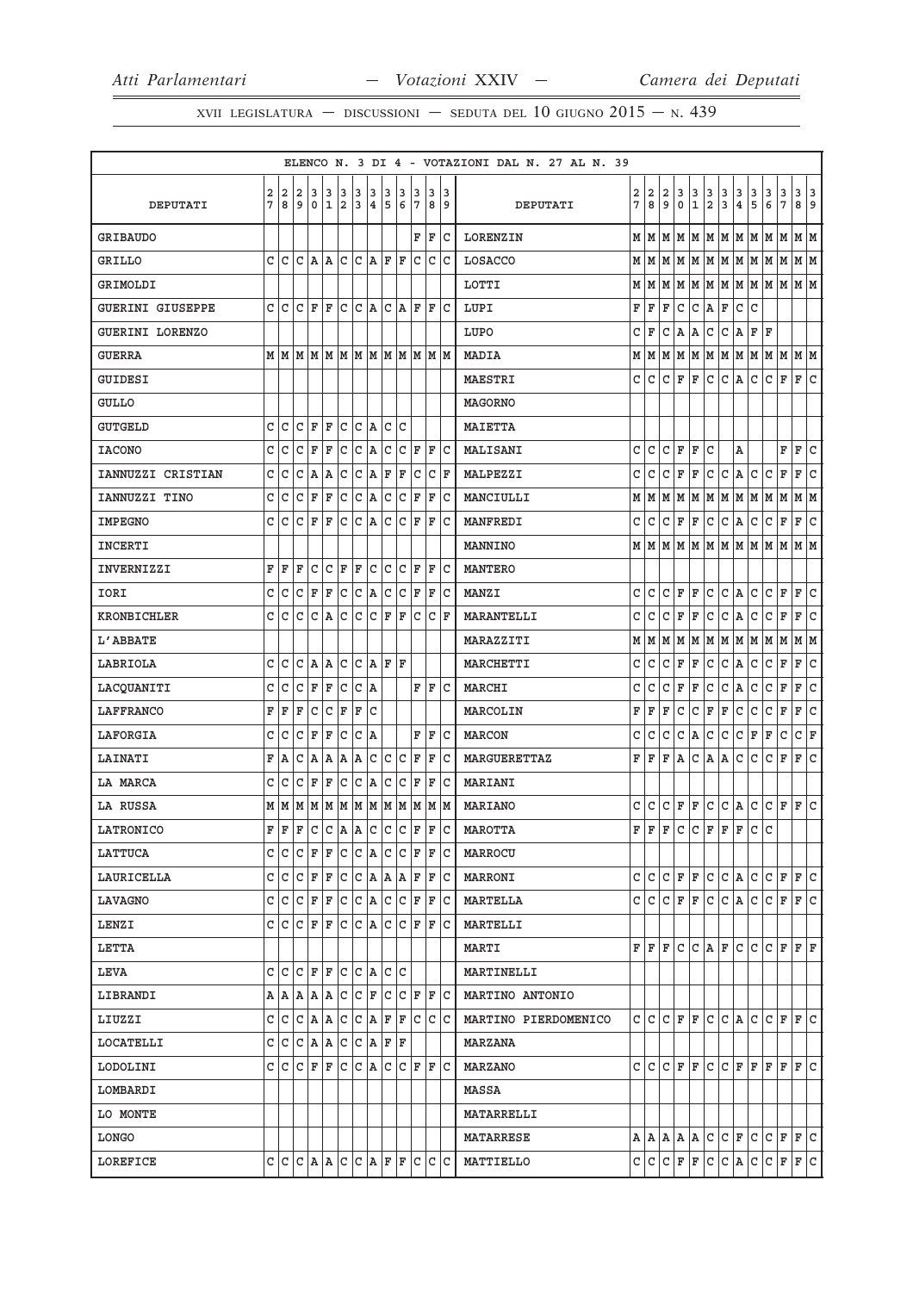|                         |    |     |                   |                                   |                 |           |                |    |                                                     |   |         |     |         |     | ELENCO N. 3 DI 4 - VOTAZIONI DAL N. 27 AL N. 39 |   |               |           |                                      |                   |               |                 |                                       |              |                                       |                         |                    |     |
|-------------------------|----|-----|-------------------|-----------------------------------|-----------------|-----------|----------------|----|-----------------------------------------------------|---|---------|-----|---------|-----|-------------------------------------------------|---|---------------|-----------|--------------------------------------|-------------------|---------------|-----------------|---------------------------------------|--------------|---------------------------------------|-------------------------|--------------------|-----|
|                         | 2  |     | 2 2               | 3                                 | 3               | 3         | 3              | 3  | 3                                                   | 3 | 3       |     | 3 3     |     |                                                 | 2 | $\frac{2}{8}$ | $\vert$ 2 | $\begin{matrix} 3 \\ 0 \end{matrix}$ | 3                 | $\frac{3}{2}$ | $\frac{3}{3}$   | $\begin{array}{c} 3 \\ 4 \end{array}$ | 3            | $\begin{array}{c} 3 \\ 6 \end{array}$ | 3                       | $\frac{3}{8}$      | 3   |
| DEPUTATI                | 7  | 8   | و ا               | $\mathbf 0$                       | 1               | $\vert$ 2 | 3              | 4  | 5                                                   | 6 | 7       |     | 8 9     |     | DEPUTATI                                        | 7 |               | 9         |                                      | $\mathbf{1}$      |               |                 |                                       | 5            |                                       | $\overline{7}$          |                    | و   |
| <b>GRIBAUDO</b>         |    |     |                   |                                   |                 |           |                |    |                                                     |   |         |     | F F C   |     | LORENZIN                                        |   |               |           |                                      |                   |               |                 |                                       |              |                                       |                         |                    |     |
| GRILLO                  | C. | lc. |                   |                                   |                 |           |                |    | C A A C C A F F C                                   |   |         |     | c c     |     | LOSACCO                                         |   | мIм           |           |                                      |                   |               |                 |                                       |              |                                       | м м м м м м м м м м     |                    |     |
| GRIMOLDI                |    |     |                   |                                   |                 |           |                |    |                                                     |   |         |     |         |     | LOTTI                                           |   |               |           |                                      |                   |               |                 |                                       |              |                                       | м м м м м м м м м м м м |                    |     |
| <b>GUERINI GIUSEPPE</b> |    |     | C C C F F         |                                   |                 |           |                |    | C C A C A F F C                                     |   |         |     |         |     | LUPI                                            | F | F             | F         | c                                    | $\mathtt{C}$      | A             | F               | c                                     | c            |                                       |                         |                    |     |
| GUERINI LORENZO         |    |     |                   |                                   |                 |           |                |    |                                                     |   |         |     |         |     | LUPO                                            | C | F             | C         | A                                    | A                 | c             | c               |                                       | A F F        |                                       |                         |                    |     |
| <b>GUERRA</b>           |    |     |                   |                                   |                 |           |                |    | MMMMMMMMMMMMMMM                                     |   |         |     |         |     | MADIA                                           |   | M   M         |           |                                      |                   |               |                 |                                       |              |                                       | M M M M M M M M M M M   |                    |     |
| GUIDESI                 |    |     |                   |                                   |                 |           |                |    |                                                     |   |         |     |         |     | MAESTRI                                         | c | lc.           | C         | ΙF                                   | F                 | C             | lc.             | A.                                    | C            | lc.                                   | F                       | F                  | c   |
| <b>GULLO</b>            |    |     |                   |                                   |                 |           |                |    |                                                     |   |         |     |         |     | <b>MAGORNO</b>                                  |   |               |           |                                      |                   |               |                 |                                       |              |                                       |                         |                    |     |
| <b>GUTGELD</b>          | C  | C   | l C               | F  F                              |                 |           |                |    | $ c c $ a $ c c $                                   |   |         |     |         |     | <b>MAIETTA</b>                                  |   |               |           |                                      |                   |               |                 |                                       |              |                                       |                         |                    |     |
| <b>IACONO</b>           | C  | c   | c                 | F                                 | F               |           |                |    | $ c c _A c c _F$                                    |   |         |     | F C     |     | MALISANI                                        | C | c             | c         | F                                    | F                 | c             |                 | A                                     |              |                                       | $\mathbf F$             | F                  | c   |
| IANNUZZI CRISTIAN       | C  | l c | c                 | A                                 |                 |           | $ c c $ a $ r$ |    |                                                     | F | c       |     | $ c $ F |     | MALPEZZI                                        | C | C             | lc.       | ΙF                                   | F                 | C             | c               | A,                                    | c            | $\overline{\mathsf{c}}$               | F                       | F                  | c   |
| IANNUZZI TINO           |    | C C | С                 | F                                 | ΙF              |           |                |    | C C A C                                             |   | $ C $ F | F   |         | c   | MANCIULLI                                       |   | M   M         |           |                                      |                   |               |                 |                                       |              |                                       | м м м м м м м м м м     |                    |     |
| <b>IMPEGNO</b>          | C  | lc. |                   | $ C $ $\mathbb{F}$ $  \mathbb{F}$ |                 |           |                |    | C C A C                                             |   | C F     |     | F C     |     | <b>MANFREDI</b>                                 | C | C             | lc.       | F                                    | F                 | c             | c               | A                                     | $\mathtt{C}$ | c                                     | F                       | F C                |     |
| <b>INCERTI</b>          |    |     |                   |                                   |                 |           |                |    |                                                     |   |         |     |         |     | MANNINO                                         |   |               |           |                                      |                   |               |                 |                                       |              |                                       |                         |                    |     |
| INVERNIZZI              |    | F F | ΙF                |                                   |                 |           |                |    | $ c c _F _F c c c _F _F c$                          |   |         |     |         |     | <b>MANTERO</b>                                  |   |               |           |                                      |                   |               |                 |                                       |              |                                       |                         |                    |     |
| IORI                    |    | c c | lc.               | F F                               |                 |           |                |    | C C A C C F                                         |   |         |     | F C     |     | <b>MANZI</b>                                    | C | c             | C         | F                                    | F                 | C             | $\mathtt{C}$    | A                                     | c            | c                                     | $\mathbf F$             | l F                | c   |
| KRONBICHLER             |    |     |                   |                                   |                 |           |                |    | $C  C   C   C   C   C   F   F   C   C   F $         |   |         |     |         |     | MARANTELLI                                      | C | l c           | c         | F                                    | F                 | c             | $ c $ A         |                                       | c.           | c                                     | F                       | F                  | c   |
| L'ABBATE                |    |     |                   |                                   |                 |           |                |    |                                                     |   |         |     |         |     | MARAZZITI                                       |   |               |           |                                      |                   |               |                 |                                       |              |                                       | м м м м м м м м м м м м |                    |     |
| LABRIOLA                | c  | lc  | C                 | A A                               |                 |           |                |    | C C A F F                                           |   |         |     |         |     | MARCHETTI                                       | C | lc.           | C         | ΙF                                   | F                 | $\mathtt{C}$  | c               | A                                     | $\mathtt{C}$ | c                                     | F                       | F                  | c   |
| LACQUANITI              | c  | lc. |                   | $ C $ $\mathbb{F}$ $  \mathbb{F}$ |                 |           | $ c c $ A      |    |                                                     |   |         |     | F F C   |     | MARCHI                                          | C | C             | lc.       | F                                    | F                 | $\mathtt{C}$  | c.              | A                                     | $\mathtt{C}$ | c                                     | F                       | F                  | c   |
| LAFFRANCO               | F  | F   | F                 | C                                 | $\mathtt{C}$    | ΙF        | F              | lc |                                                     |   |         |     |         |     | MARCOLIN                                        | F | F             | F         | $\mathtt{C}$                         | $\mathtt{C}$      | F             | F               | c                                     | c            | c                                     | F                       | F                  | c   |
| LAFORGIA                | C  | C   | C                 | F  F                              |                 |           | $ c c $ A      |    |                                                     |   |         |     | F F C   |     | <b>MARCON</b>                                   | C | l C           | l C       | c                                    | A,                | c             | c               | c                                     | F            | F                                     | $\mathtt{C}$            | $ c _{\mathbf{F}}$ |     |
| LAINATI                 | F  | ١A  | C                 |                                   | $A$ $A$ $A$ $A$ |           |                |    | c c                                                 |   | $ C $ F |     | F C     |     | MARGUERETTAZ                                    | F | F             | F         | A                                    | $\mathtt{C}$      | A             | A               | c                                     | lc.          | c                                     | F                       | F                  | c   |
| LA MARCA                | C  | l c | c                 | F                                 | F               |           |                |    | $ c c $ $ c c $                                     |   | $ c _F$ |     | F C     |     | <b>MARIANI</b>                                  |   |               |           |                                      |                   |               |                 |                                       |              |                                       |                         |                    |     |
| LA RUSSA                |    |     |                   |                                   |                 |           |                |    |                                                     |   |         |     |         |     | MARIANO                                         | C | lc.           | lc.       | F                                    | F                 | c             | $ c $ $\lambda$ |                                       |              |                                       | $ c c _F _F c$          |                    |     |
| LATRONICO               |    | F F | ΙF                |                                   |                 |           |                |    | c c A A c c c F                                     |   |         | lF. |         | lc. | <b>MAROTTA</b>                                  | F | F             | F         | c                                    | c                 | F             | F               | F                                     | c            | lc                                    |                         |                    |     |
| LATTUCA                 |    |     |                   |                                   |                 |           |                |    | CCCFFCCACCFFC                                       |   |         |     |         |     | MARROCU                                         |   |               |           |                                      |                   |               |                 |                                       |              |                                       |                         |                    |     |
| LAURICELLA              |    | c c | lc.               | F  F                              |                 |           |                |    | C   C   A   A   A   F   F   C                       |   |         |     |         |     | MARRONI                                         | c | C             | c         | F                                    | F                 | C             | С               | A                                     | С            | lc.                                   | F                       | F                  | lc. |
| LAVAGNO                 | c  |     | C C F F           |                                   |                 |           |                |    | C C A C C F                                         |   |         |     | F C     |     | <b>MARTELLA</b>                                 | c | c             | l C       | ΙF                                   | F                 | C             | C A             |                                       | C            | lc.                                   | F                       | F C                |     |
| LENZI                   | c  | lc. | lc.               | F                                 | ΙF              | lc.       |                |    | $ C $ $A  C $ $C  F $ $F  C$                        |   |         |     |         |     | MARTELLI                                        |   |               |           |                                      |                   |               |                 |                                       |              |                                       |                         |                    |     |
| LETTA                   |    |     |                   |                                   |                 |           |                |    |                                                     |   |         |     |         |     | <b>MARTI</b>                                    |   | FF            | F         | C                                    |                   | C A F         |                 | lc.                                   | C            | lc.                                   | F F F                   |                    |     |
| LEVA                    | c  | lc. | lc.               | F  F                              |                 |           |                |    | lc Ic Ia Ic Ic                                      |   |         |     |         |     | MARTINELLI                                      |   |               |           |                                      |                   |               |                 |                                       |              |                                       |                         |                    |     |
| LIBRANDI                |    |     | A   A   A   A   A |                                   |                 |           |                |    |                                                     |   |         |     |         |     | MARTINO ANTONIO                                 |   |               |           |                                      |                   |               |                 |                                       |              |                                       |                         |                    |     |
| LIUZZI                  |    |     |                   |                                   |                 |           |                |    | $C  C   C   A   A   C   C   A   F   F   C   C   C $ |   |         |     |         |     | MARTINO PIERDOMENICO                            |   | C C C F F     |           |                                      |                   |               | c c a           |                                       |              |                                       | $ c c _F _F _C$         |                    |     |
| LOCATELLI               |    | C C |                   |                                   |                 |           |                |    | C   A   A   C   C   A   F   F                       |   |         |     |         |     | MARZANA                                         |   |               |           |                                      |                   |               |                 |                                       |              |                                       |                         |                    |     |
| LODOLINI                |    |     | C C C F F         |                                   |                 |           |                |    | C C A C C F F C                                     |   |         |     |         |     | <b>MARZANO</b>                                  |   | c Ic          | C         | F                                    | F                 | lc.           | lc.             | F                                     | lF.          | F                                     | F                       | F C                |     |
| LOMBARDI                |    |     |                   |                                   |                 |           |                |    |                                                     |   |         |     |         |     | MASSA                                           |   |               |           |                                      |                   |               |                 |                                       |              |                                       |                         |                    |     |
| LO MONTE                |    |     |                   |                                   |                 |           |                |    |                                                     |   |         |     |         |     | <b>MATARRELLI</b>                               |   |               |           |                                      |                   |               |                 |                                       |              |                                       |                         |                    |     |
| LONGO                   |    |     |                   |                                   |                 |           |                |    |                                                     |   |         |     |         |     | MATARRESE                                       |   |               |           |                                      | A   A   A   A   C |               | C F             |                                       |              |                                       | C C F F C               |                    |     |
| LOREFICE                |    |     |                   |                                   |                 |           |                |    | C  C C  A A C  C A F F C C C                        |   |         |     |         |     | MATTIELLO                                       | C | c             | l C       | F                                    | F                 | $\mathtt{C}$  | c               | A                                     | C            | c                                     | F                       | F C                |     |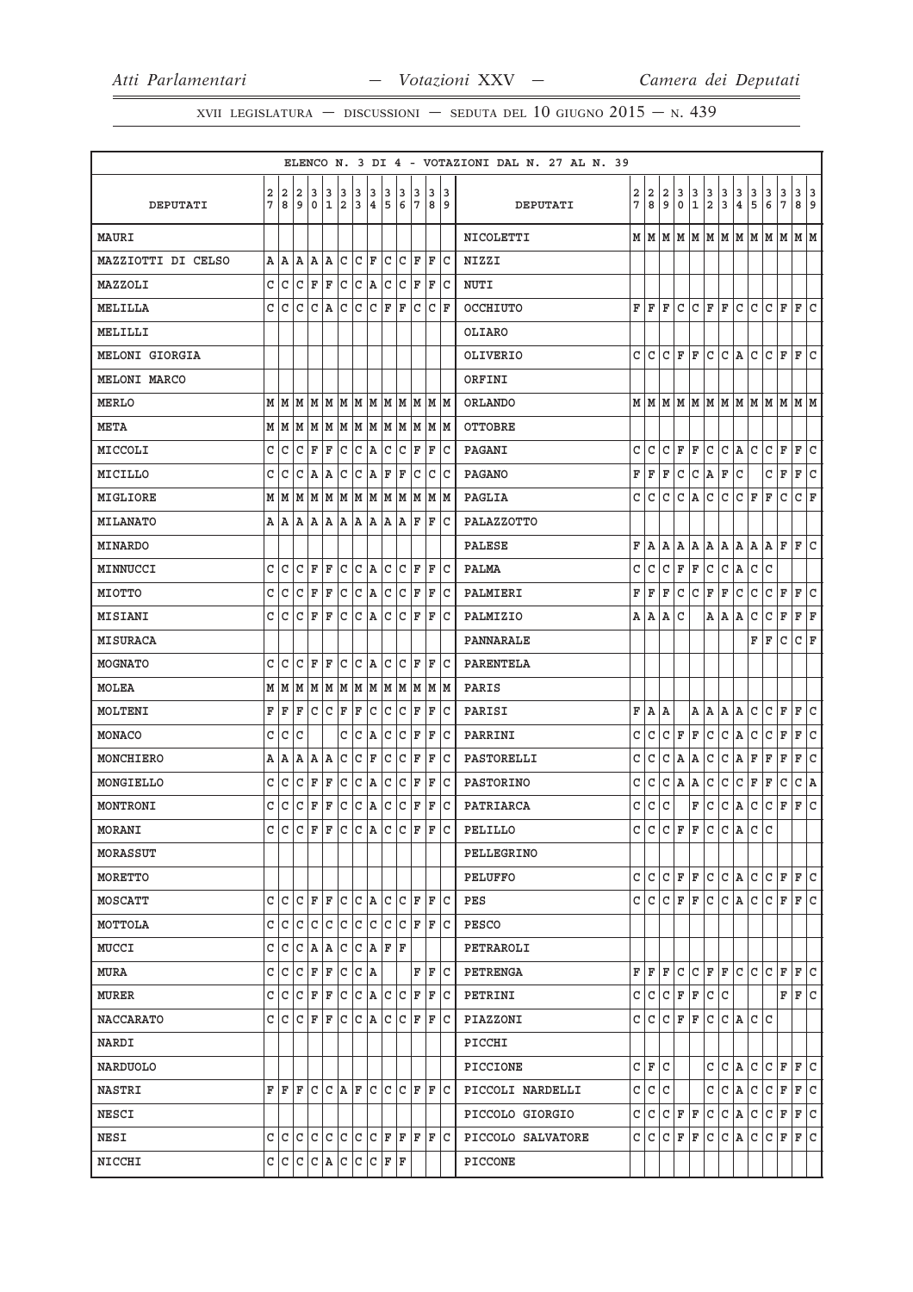|                    |   |      |     |             |              |     |       |                    |             |              |                                   |                        |       | ELENCO N. 3 DI 4 - VOTAZIONI DAL N. 27 AL N. 39 |   |       |              |              |               |               |                |                         |              |          |                |                                                                       |     |
|--------------------|---|------|-----|-------------|--------------|-----|-------|--------------------|-------------|--------------|-----------------------------------|------------------------|-------|-------------------------------------------------|---|-------|--------------|--------------|---------------|---------------|----------------|-------------------------|--------------|----------|----------------|-----------------------------------------------------------------------|-----|
|                    | 2 | 2    | 2   | 3           | 3            | 3   | 3     | 3                  | 3           | 3            | 3                                 | 3                      | 13    |                                                 | 2 | 2     | 2            | 3            |               |               | $\overline{3}$ | 3                       | 3            | 3        | 3              | 3                                                                     | 3   |
| <b>DEPUTATI</b>    | 7 | 8    | 9   | $\mathbf 0$ | $\mathbf{1}$ | 2   | 3     | $\overline{\bf 4}$ | 5           | 6            | 17                                |                        | 89    | DEPUTATI                                        | 7 | 8     | 9            | $\mathbf 0$  | $\frac{3}{1}$ | $\frac{3}{2}$ | 3              | $\overline{\mathbf{4}}$ | 5            | 6        | $\overline{7}$ | 8                                                                     | و   |
| MAURI              |   |      |     |             |              |     |       |                    |             |              |                                   |                        |       | NICOLETTI                                       |   |       |              |              |               |               |                |                         |              |          |                |                                                                       |     |
| MAZZIOTTI DI CELSO | A | ١A   | ١A  | lA.         | ١A           | C   | c     | ΙF                 | lc          | C            | ΙF                                | ΙF                     | lc    | NIZZI                                           |   |       |              |              |               |               |                |                         |              |          |                |                                                                       |     |
| MAZZOLI            | C | C    | C   | F           | F            | c   | С     | lA.                | IС          | C            | F                                 | F                      | lc    | NUTI                                            |   |       |              |              |               |               |                |                         |              |          |                |                                                                       |     |
| MELILLA            | C | lc   | с   | l c         | A            | lc  | lc    | lc.                | F           | F            | lc.                               | $ {\tt C}\> {\tt F}\>$ |       | OCCHIUTO                                        | F | lF.   | lF.          | C            |               | C F           | F              | С                       | lc.          | lc.      | F              | F C                                                                   |     |
| MELILLI            |   |      |     |             |              |     |       |                    |             |              |                                   |                        |       | OLIARO                                          |   |       |              |              |               |               |                |                         |              |          |                |                                                                       |     |
| MELONI GIORGIA     |   |      |     |             |              |     |       |                    |             |              |                                   |                        |       | OLIVERIO                                        | c | C     | C            | F            | F             | C             | $ c $ A        |                         | C            | l C      | F              | F                                                                     | lc. |
| MELONI MARCO       |   |      |     |             |              |     |       |                    |             |              |                                   |                        |       | ORFINI                                          |   |       |              |              |               |               |                |                         |              |          |                |                                                                       |     |
| <b>MERLO</b>       | М | M    | M   | MM          |              |     | MM    |                    | MM          |              | MMMMM                             |                        |       | <b>ORLANDO</b>                                  |   |       |              |              |               |               |                |                         |              |          |                | $M$   $M$   $M$   $M$   $M$   $M$   $M$   $M$   $M$   $M$   $M$   $M$ |     |
| <b>META</b>        | M | M    | M   | M           | M            | M   | M     |                    | MM          |              | MM                                |                        | MM    | OTTOBRE                                         |   |       |              |              |               |               |                |                         |              |          |                |                                                                       |     |
| MICCOLI            | C | IС   | C   | F           | F            | c   | С     | lA.                | lc.         | C            | F                                 | F                      | ΙC    | PAGANI                                          | c | C     | c            | F            | F             | C             | С              | ۱A.                     | C            | lc.      | F              | F                                                                     | lc. |
| MICILLO            | C | c    | C   | A           | A            | C   | c     | A                  | F           | F            | C                                 |                        | c c   | <b>PAGANO</b>                                   | F | F     | F            | $\mathtt{C}$ | c             | A             | F              | lc                      |              | C        | F              | F                                                                     | c   |
| MIGLIORE           | М | M    | M   | M           | M            | M   | M     |                    | MM          |              | MM                                |                        | M M   | PAGLIA                                          | c | ГC    | С            | C            | Α             | С             | C              | C                       | F            | ΙF       | C              | CF                                                                    |     |
| MILANATO           | Α | ΙA   | ۱A  | A  A        |              |     | A  A  |                    |             |              | AAAF                              | F C                    |       | PALAZZOTTO                                      |   |       |              |              |               |               |                |                         |              |          |                |                                                                       |     |
| MINARDO            |   |      |     |             |              |     |       |                    |             |              |                                   |                        |       | <b>PALESE</b>                                   | F | Α     | Α            | Α            | Α             | Α             | Α              | A                       | Α            | A        | $\mathbf F$    | F                                                                     | lc. |
| MINNUCCI           | C | c    | c   | F           | F            |     | c c   | A C                |             |              | $ c $ F                           | F C                    |       | PALMA                                           | C | c     | $\mathtt{C}$ | F            | F             | $\mathtt{C}$  | c              | A,                      | $\mathtt{C}$ | <b>c</b> |                |                                                                       |     |
| <b>MIOTTO</b>      | C | C    | C   | F           | F            | c.  | c     | A C                |             |              | $ {\tt C}\, $ F                   | F                      | Iс    | PALMIERI                                        | F | F     | F            | С            | C             | F             | F              | c                       | C            | lc.      | F              | F                                                                     | c   |
| <b>MISIANI</b>     | C | IС   | C   | F           | ΙF           | c   | С     | lA.                | lc.         | lc.          | ΙF                                | ΙF                     | ΙC    | PALMIZIO                                        |   | A   A | Α            | C            |               | Α             | A              | A                       | С            | C        | $\mathbf F$    | F                                                                     | F   |
| <b>MISURACA</b>    |   |      |     |             |              |     |       |                    |             |              |                                   |                        |       | PANNARALE                                       |   |       |              |              |               |               |                |                         | F            | ΙF       | $\mathtt{C}$   | $ c _{\mathbf{F}}$                                                    |     |
| MOGNATO            | C | lc.  | C   | F           | F            | C   | lc.   | A                  | lc          | lc.          | ΙF                                | F                      | ١c    | PARENTELA                                       |   |       |              |              |               |               |                |                         |              |          |                |                                                                       |     |
| MOLEA              | М | M M  |     |             |              |     |       |                    |             |              | M   M   M   M   M   M   M   M   M |                        |       | PARIS                                           |   |       |              |              |               |               |                |                         |              |          |                |                                                                       |     |
| MOLTENI            | F | ΙF   | F   | C           | $\mathtt{C}$ | F   | F     | $\mathtt{C}$       | c           | $\mathtt{C}$ | F                                 | ΙF                     | lc    | PARISI                                          | F | Α     | Α            |              | Α             | Α             | Α              | A                       | С            | c)       | F              | F                                                                     | c   |
| MONACO             | C | c    | C   |             |              | C   | c     | A                  | c           | $\mathtt{C}$ | ΙF                                | F                      | lc    | PARRINI                                         | C | C     | C            | F            | F             | $\mathtt{C}$  | $\mathtt{C}$   | A                       | $\mathtt{C}$ | c        | F              | F                                                                     | c   |
| MONCHIERO          | Α | ΙA   | A   | A           | ΙA           | C   | c     | F                  | c           | C            | F                                 | F                      | lc    | PASTORELLI                                      | C | C     | C            | Α            | Α             | $\mathtt{C}$  | $\mathtt{C}$   | A                       | F            | F        | F              | F                                                                     | c   |
| MONGIELLO          | C | l C  | C   | F           | F            | c   | с     | lA.                | lc.         | C            | F                                 | F                      | lc    | <b>PASTORINO</b>                                | C | C     | С            | Α            | Α             | С             | C              | c                       | F            | F        | C              | c                                                                     | A   |
| MONTRONI           | C | c    | c   | F           | F            | lc. | c     |                    | A C         |              | $ C $ F                           | F                      | Iс    | PATRIARCA                                       | C | l C   | C            |              | F             | С             | c              | ΙA                      | C            | c        | F              | F                                                                     | c   |
| MORANI             | C | l C  | lc. | F           | F            | lc. | lc.   | A C                |             |              | C F                               | ΙF                     | lc    | PELILLO                                         | c | c     | lc.          | F            | F             | C             | c              | A                       | C            | lc       |                |                                                                       |     |
| MORASSUT           |   |      |     |             |              |     |       |                    |             |              |                                   |                        |       | PELLEGRINO                                      |   |       |              |              |               |               |                |                         |              |          |                |                                                                       |     |
| MORETTO            |   |      |     |             |              |     |       |                    |             |              |                                   |                        |       | PELUFFO                                         | C | C     | c            | F            | F             | $\mathtt{C}$  | С              | A                       | C            | lc       | $\mathbf F$    | F                                                                     | lc. |
| MOSCATT            | C | lc.  | l C | F           | ΙF           | C   | c     |                    | A C         | C            | ΙF                                | F                      | lc    | PES                                             | C | l C   | C            | F            | F             | $\mathsf{C}$  | c              | A.                      | c            | lc.      | F              | F                                                                     | c   |
| MOTTOLA            | C | C    | с   | lc.         | lc           | c c |       |                    | c c         |              | $ C $ F                           | F C                    |       | PESCO                                           |   |       |              |              |               |               |                |                         |              |          |                |                                                                       |     |
| MUCCI              | C | lc   | C   | l A         | A            | C   | lc    | lA.                | ΙF          | ΙF           |                                   |                        |       | PETRAROLI                                       |   |       |              |              |               |               |                |                         |              |          |                |                                                                       |     |
| MURA               | C | C    | lc. | F           | F            |     | c c a |                    |             |              | F                                 |                        | F C   | PETRENGA                                        | F | F     | F            | C            | lc.           | F             | F              | С                       | c c          |          | lF.            | F                                                                     | lc. |
| MURER              | C | C    | C   | F           | F            | C   | с     | lA.                | lc.         | lc.          | ΙF                                |                        | IF IC | PETRINI                                         | c | C     | С            | F            | F             | C             | C              |                         |              |          | F              | F                                                                     | lc. |
| <b>NACCARATO</b>   | C | lc   | lc. | F           | F            | lc. | lc.   |                    | A C         |              | C  F                              |                        | F C   | PIAZZONI                                        | C | C     | С            | F            | F             | C             | $ c $ A        |                         | c c          |          |                |                                                                       |     |
| NARDI              |   |      |     |             |              |     |       |                    |             |              |                                   |                        |       | PICCHI                                          |   |       |              |              |               |               |                |                         |              |          |                |                                                                       |     |
| NARDUOLO           |   |      |     |             |              |     |       |                    |             |              |                                   |                        |       | PICCIONE                                        | C | F     | C            |              |               | C             | c              | A                       | C            | lc.      | ΙF             | F                                                                     | l C |
| <b>NASTRI</b>      | F | F  F |     |             |              |     |       |                    |             |              | c c a f c c c f f c               |                        |       | PICCOLI NARDELLI                                | C | l C   | C            |              |               | C             | С              | A                       | C            | l C      | F              | F                                                                     | lc. |
| <b>NESCI</b>       |   |      |     |             |              |     |       |                    |             |              |                                   |                        |       | PICCOLO GIORGIO                                 | С | С     | С            | F            | F             | С             | с              | A                       | С            | C        | $\mathbf F$    | F                                                                     | С   |
| NESI               | C | c c  |     | c c         |              |     |       |                    | $ c c c _F$ |              | F  F                              |                        | F  C  | PICCOLO SALVATORE                               | C | C     | C            | F            | F             | С             | lc.            | A                       | С            | lc.      | F              | F                                                                     | c   |
| NICCHI             | С | ГC   | C   | C           | A            | C.  | C     | C F                |             | F            |                                   |                        |       | PICCONE                                         |   |       |              |              |               |               |                |                         |              |          |                |                                                                       |     |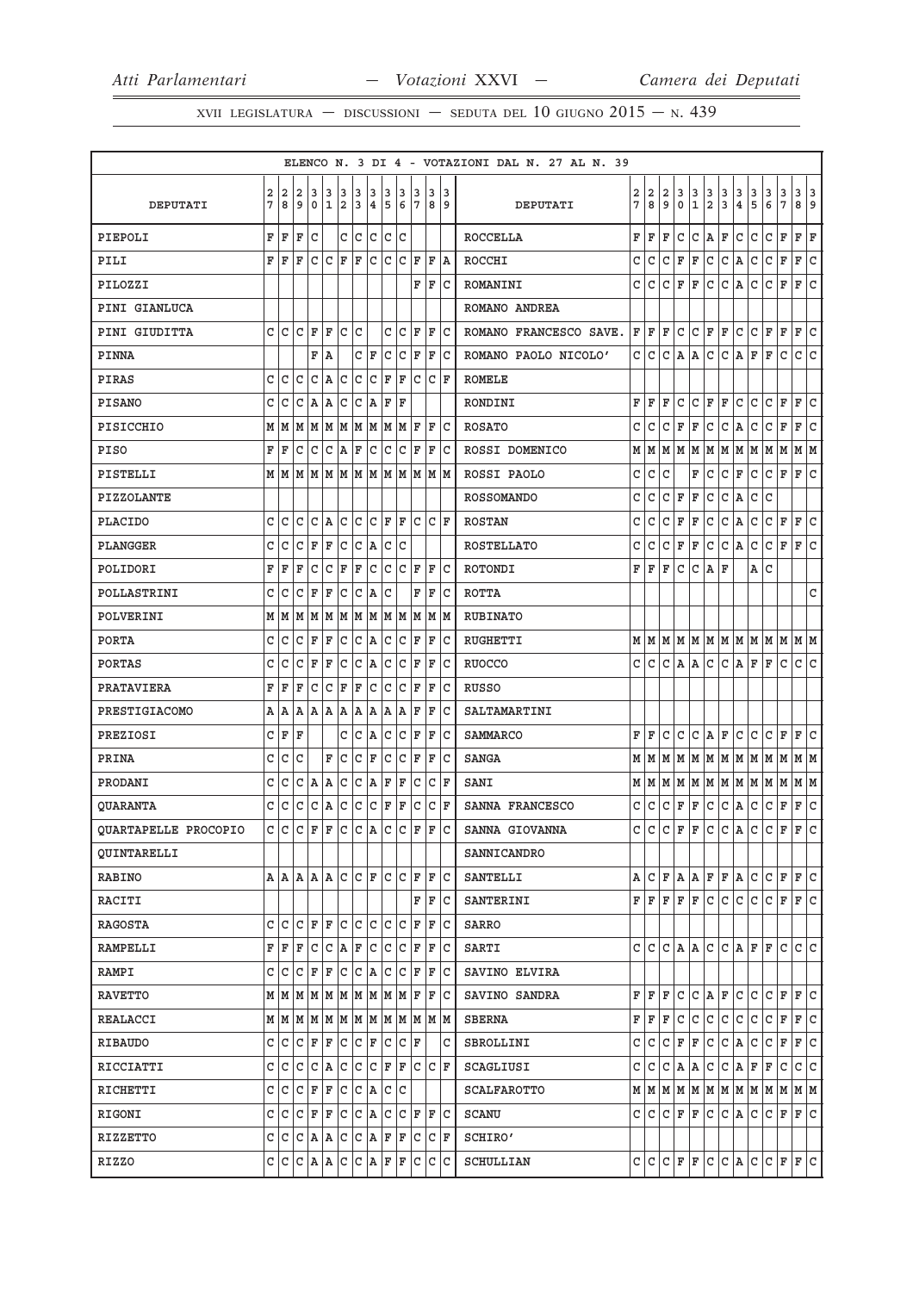|                             |     |     |       |         |               |                |     |                |                     |              |                 |    |           | ELENCO N. 3 DI 4 - VOTAZIONI DAL N. 27 AL N. 39 |   |                                                                             |                         |              |              |               |               |               |               |               |               |                         |                         |
|-----------------------------|-----|-----|-------|---------|---------------|----------------|-----|----------------|---------------------|--------------|-----------------|----|-----------|-------------------------------------------------|---|-----------------------------------------------------------------------------|-------------------------|--------------|--------------|---------------|---------------|---------------|---------------|---------------|---------------|-------------------------|-------------------------|
|                             | 2   | 2   | 2     | 3       | 3             | 3              | 3   | 3              | 3                   | 3            | 3               | 3  | 3         |                                                 | 2 | 2                                                                           | $\overline{\mathbf{2}}$ | 3            | 3            | $\frac{3}{2}$ | $\frac{3}{3}$ | $\frac{3}{4}$ | $\frac{3}{5}$ | $\frac{3}{6}$ | $\frac{3}{7}$ | 3                       | 3<br>و                  |
| DEPUTATI                    | 7   | 8   | 9     | 0       | $\mathbf{1}$  | $\overline{a}$ | 3   | $\overline{4}$ | 5                   | 6            | 7               | 8  | و ا       | DEPUTATI                                        | 7 | 8                                                                           | 9                       | 0            | $\mathbf{1}$ |               |               |               |               |               |               | 8                       |                         |
| PIEPOLI                     | F   | F   | F     | C       |               | C              | c   | C              | c                   | C            |                 |    |           | <b>ROCCELLA</b>                                 | F | F                                                                           | F                       | С            | C            | Α             | F             | c             | С             | lc.           | $\mathbf F$   | F                       | F                       |
| PILI                        | F   | ΙF  | F     | C       | C             | ΙF             | F   | C              | C                   | C            | F               | F  | ١A        | ROCCHI                                          | C | С                                                                           | C                       | F            | F            | C             | $\mathtt{C}$  | A             | С             | lc.           | F             | F                       | C                       |
| PILOZZI                     |     |     |       |         |               |                |     |                |                     |              | F               | F  | lc        | ROMANINI                                        | C | C                                                                           | C                       | $\mathbf F$  | F            | C             | $\mathtt{C}$  | Α             | C             | C             | F             | F                       | $\mathtt{C}$            |
| PINI GIANLUCA               |     |     |       |         |               |                |     |                |                     |              |                 |    |           | ROMANO ANDREA                                   |   |                                                                             |                         |              |              |               |               |               |               |               |               |                         |                         |
| PINI GIUDITTA               | C   | ١c  | C     | F       | F             | C              | C   |                | C                   | c            | ΙF              | F  | ١c        | ROMANO FRANCESCO SAVE.                          | F | F                                                                           | F                       | C            | C            | F             | F             | C             | C             | F             | F             | F                       | C                       |
| PINNA                       |     |     |       | F       | ١A            |                |     | C F            | C                   | C            | F               | F  | IС        | ROMANO PAOLO NICOLO'                            | C | С                                                                           | C                       | ١A           | A            | С             | lc.           | lA.           | F             | F             | C             | C                       | lc.                     |
| PIRAS                       | C   | С   | C     | С       | A             | С              | C   | С              | F                   | F            | С               | С  | ΙF        | <b>ROMELE</b>                                   |   |                                                                             |                         |              |              |               |               |               |               |               |               |                         |                         |
| <b>PISANO</b>               | C   | C   | C     | Α       | A             | С              | С   | A              | F                   | ΙF           |                 |    |           | RONDINI                                         | F | F                                                                           | F                       | C            | C            | F             | F             | c             | C             | lc.           | $\mathbf F$   | F                       | C                       |
| PISICCHIO                   | М   | M   | M     | M       | M             | M              | M   | M              | M                   | M            | ΙF              | ΙF | lc        | <b>ROSATO</b>                                   | C | C                                                                           | C                       | F            | F            | С             | c             | A             | C             | lc.           | F             | F                       | C                       |
| <b>PISO</b>                 | F   | F   | С     | С       | C             | A              | F   | С              | C                   | С            | F               | F  | ΙC        | ROSSI DOMENICO                                  | М | M                                                                           | M                       | М            | M            | M             | M             | M             | М             | M             | М             | M                       | M                       |
| PISTELLI                    | МM  |     | M     |         | M   M   M   M |                |     |                | M  M  M  M  M  M    |              |                 |    |           | ROSSI PAOLO                                     | C | C                                                                           | C                       |              | F            | C             | l C           | F             | $\mathtt{C}$  | lc.           | F             | F                       | c                       |
| PIZZOLANTE                  |     |     |       |         |               |                |     |                |                     |              |                 |    |           | <b>ROSSOMANDO</b>                               | С | C                                                                           | C                       | F            | F            | C             | C             | Α             | С             | C             |               |                         |                         |
| <b>PLACIDO</b>              | c   | ١c  | C     | C A     |               |                | C C | $ C $ F        |                     | F            |                 |    | $ C C $ F | <b>ROSTAN</b>                                   | С | С                                                                           | C                       | F            | F            | C             | l C           | A             | С             | lc.           | F             | F                       | c                       |
| PLANGGER                    | C   | С   | С     | F       | $\mathbf F$   | С              | С   | ١A             | С                   | С            |                 |    |           | <b>ROSTELLATO</b>                               | С | C                                                                           | С                       | F            | F            | С             | C             | Α             | С             | С             | F             | F                       | C                       |
| POLIDORI                    | F   | ΙF  | F     | C       | С             | F              | F   | С              | c                   |              | C F             | ΙF | lc        | ROTONDI                                         | F | F                                                                           | F                       | $\mathsf{C}$ | С            | Α             | F             |               | Α             | C             |               |                         |                         |
| POLLASTRINI                 | C   | C   | C     | F       | F             | C              | C   | A              | C                   |              | F               | F  | Ιc        | <b>ROTTA</b>                                    |   |                                                                             |                         |              |              |               |               |               |               |               |               |                         | C                       |
| POLVERINI                   | М   | M   | M     | M       | M             | M              | M   | M              | M                   |              | MM              |    | M  M      | <b>RUBINATO</b>                                 |   |                                                                             |                         |              |              |               |               |               |               |               |               |                         |                         |
| <b>PORTA</b>                | C   | C   | C     | F       | $\mathbf F$   | C              | С   | ١A             | С                   | C            | F               | F  | IС        | <b>RUGHETTI</b>                                 |   | MM                                                                          |                         |              |              |               |               |               |               |               |               | M M M M M M M M M M M M |                         |
| <b>PORTAS</b>               | C   | C   | C     | F       | F             | C              | C   | ١A             | C                   | C            | ΙF              | F  | C         | <b>RUOCCO</b>                                   | C | C                                                                           | C                       | А            | Α            | C             | C             | A             | F             | F             | C             | С                       | C                       |
| PRATAVIERA                  | F   | F   | F     | C       | C             | F              | F   | C              | lc.                 | C            | F               | F  | IС        | <b>RUSSO</b>                                    |   |                                                                             |                         |              |              |               |               |               |               |               |               |                         |                         |
| PRESTIGIACOMO               | Α   | Α   | Α     | ١A      | ١A            | A              | ١A  | A              | A                   | A            | F               | F  | IС        | SALTAMARTINI                                    |   |                                                                             |                         |              |              |               |               |               |               |               |               |                         |                         |
| PREZIOSI                    | C   | F   | F     |         |               | С              | С   | lA.            | c                   | $\mathtt{C}$ | F               | F  | lc        | <b>SAMMARCO</b>                                 | F | F                                                                           | C                       | C            | C            | Α             | F             | c             | $\mathtt{C}$  | l C           | $\mathbf F$   | F                       | C                       |
| PRINA                       | C   | C   | C     |         | F             | C              | C   | F              | C                   | C            | F               | ΙF | Ιc        | <b>SANGA</b>                                    | M | M                                                                           | M                       | M            | M            | M             | M             | M             | M             | M             | M             | M  M                    |                         |
| PRODANI                     | C   | С   | С     | A       | A             | С              | С   | ١A             | F                   | F            | С               | С  | ١F        | SANI                                            | М | M                                                                           | M                       | М            | M            | M             | M             | M             | M             | M             | M             | M M                     |                         |
| <b>QUARANTA</b>             | C   | С   | C     | C       | A             | С              | С   | C              | F                   | F            | С               | C  | ΙF        | SANNA FRANCESCO                                 | C | C                                                                           | C                       | $\mathbf F$  | F            | C             | l C           | A             | $\mathtt{C}$  | lc.           | F             | F                       | C                       |
| <b>QUARTAPELLE PROCOPIO</b> | C   | lc. | c     | F       | F             | C              | lc. | A              | C                   | lc.          | F               | ΙF | C         | SANNA GIOVANNA                                  | C | C                                                                           | lc.                     | F            | F            | C             | c             | A             | C             | c             | F             | F                       | $\overline{\mathsf{C}}$ |
| <b>QUINTARELLI</b>          |     |     |       |         |               |                |     |                |                     |              |                 |    |           | SANNICANDRO                                     |   |                                                                             |                         |              |              |               |               |               |               |               |               |                         |                         |
| RABINO                      |     | AAA |       | A A     |               | C              | lc. | lF.            | lc.                 | C            | ΙF              | F  | ΙC        | SANTELLI                                        | A | C                                                                           | F                       | A            | l A          | F             | F             | A             | С             | C             | F             | F                       | c                       |
| RACITI                      |     |     |       |         |               |                |     |                |                     |              | F               | F  | ∣c        | <b>SANTERINI</b>                                | F | l F                                                                         | F                       | F            | F            | C             | lc.           | lc.           | c             | lc.           | $\mathbf F$   | F                       | lc.                     |
| RAGOSTA                     | C   | C   | C     | F       | ΙF            | C              | c   | c c            |                     | C            | ΙF              | F  | lc        | SARRO                                           |   |                                                                             |                         |              |              |               |               |               |               |               |               |                         |                         |
| RAMPELLI                    | F   | F   | F     | C       | C             | ΙA             | F   | С              | lc.                 | С            | F               | F  | ١c        | SARTI                                           | c | C                                                                           | C                       | l A          | l A          | C             | C   A         |               | lF.           | lF.           | C             | c c                     |                         |
| RAMPI                       | C   | C   | C     | ΙF      | $\mathbf F$   | C              | lc. | A              | lc.                 |              | $ {\tt C}\, $ F | F  | ΙC        | SAVINO ELVIRA                                   |   |                                                                             |                         |              |              |               |               |               |               |               |               |                         |                         |
| <b>RAVETTO</b>              |     | MM  |       |         |               |                |     |                | M M M M M M M M M F |              |                 | F  | ΙC        | SAVINO SANDRA                                   | F | F                                                                           | F                       | C            | C            | ۱A.           | F             | C             | C             | C             | F             | F                       | C                       |
| REALACCI                    |     |     |       |         |               |                |     |                |                     |              |                 |    |           | <b>SBERNA</b>                                   | F | F                                                                           | F                       | C            | C            | l C           | lc.           | c             | C             | lc.           | $\mathbf F$   | F                       | lc.                     |
| <b>RIBAUDO</b>              | C   | C   | C     | F       | F             | c              | С   | F              | l C                 | c            | ΙF              |    | С         | SBROLLINI                                       | C | C                                                                           | C                       | F            | F            | C             | lc.           | A             | C             | C             | $\mathbf F$   | F                       | c                       |
| RICCIATTI                   | C   | C   | C     | C       | ١A            | C              | C   | lc.            | F                   | ΙF           | lc              |    | $ c $ F   | SCAGLIUSI                                       | C | C                                                                           | C                       | A            | A            | C             | c.            | A             | F             | F             | C             | C                       | $\overline{\mathsf{C}}$ |
| RICHETTI                    | C   | C   | C     | F       | F             | C              | С   | A C            |                     | lc           |                 |    |           | <b>SCALFAROTTO</b>                              |   | $M$   $M$   $M$   $M$   $M$   $M$   $M$   $M$   $M$   $M$   $M$   $M$   $M$ |                         |              |              |               |               |               |               |               |               |                         |                         |
| RIGONI                      | C   | C   | C     | F       | F             | С              | С   | A              | IС                  |              | $ {\tt C}\, $ F |    | IF IC     | SCANU                                           | c | C                                                                           | C                       | F            | F            | C             | C             | A             | С             | C             | $\mathbf F$   | F                       | С                       |
| RIZZETTO                    | c   |     |       | C C A A |               |                |     | C C A F        |                     |              | F C C F         |    |           | SCHIRO'                                         |   |                                                                             |                         |              |              |               |               |               |               |               |               |                         |                         |
| RIZZO                       | C C |     | C   A |         | A             |                |     | C C A F        |                     | F            | С               |    | C C       | SCHULLIAN                                       | с | $ C C $ F                                                                   |                         |              | F            |               | C C A         |               |               | $ C C $ F     |               | F                       | c                       |